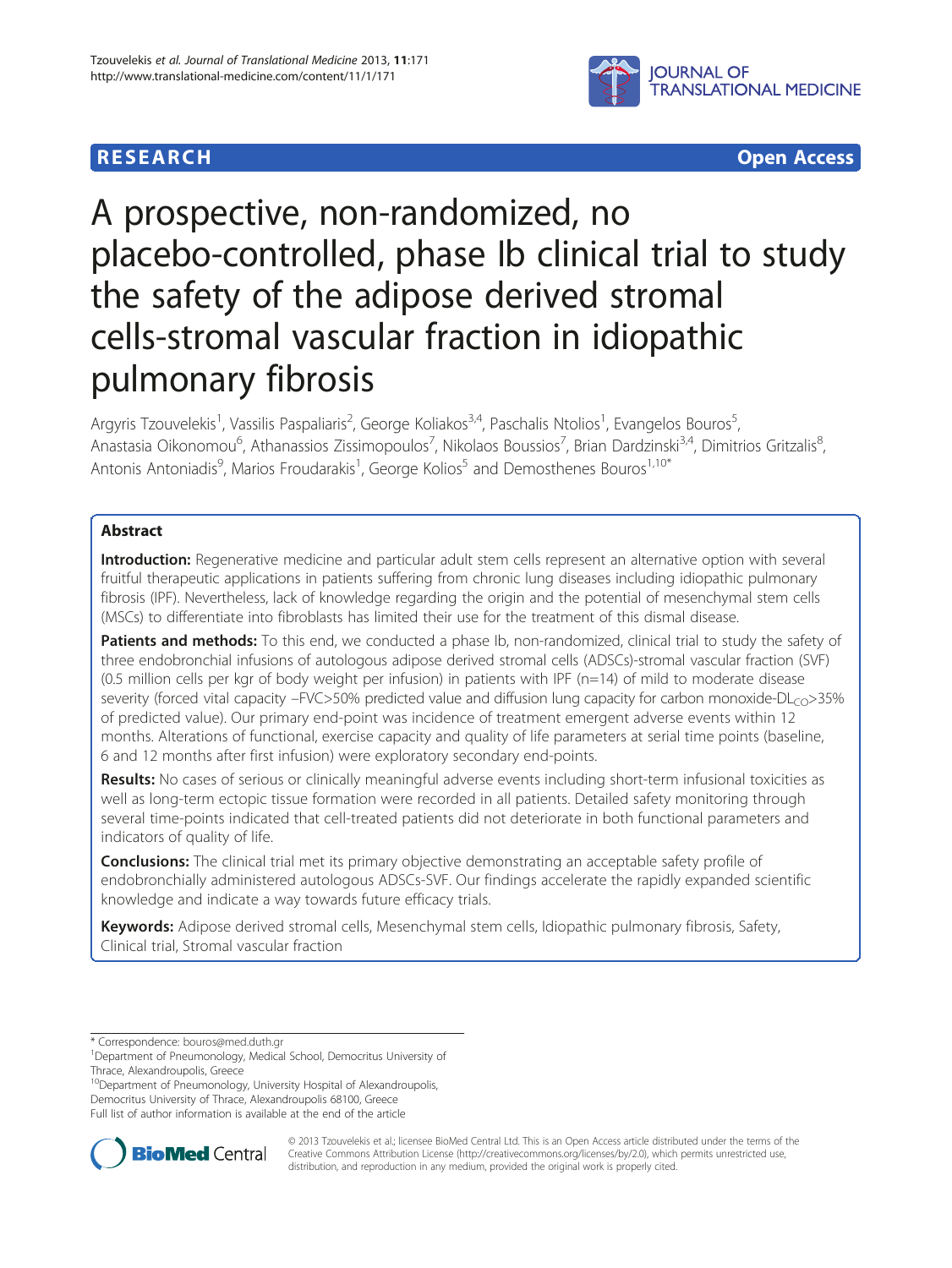# **RESEARCH CHEAR CHEAR CHEAR CHEAR CHEAR CHEAR CHEAR CHEAR CHEAR CHEAR CHEAR CHEAR CHEAR CHEAR CHEAR CHEAR CHEAR**



# A prospective, non-randomized, no placebo-controlled, phase Ib clinical trial to study the safety of the adipose derived stromal cells-stromal vascular fraction in idiopathic pulmonary fibrosis

Argyris Tzouvelekis<sup>1</sup>, Vassilis Paspaliaris<sup>2</sup>, George Koliakos<sup>3,4</sup>, Paschalis Ntolios<sup>1</sup>, Evangelos Bouros<sup>5</sup> , Anastasia Oikonomou<sup>6</sup>, Athanassios Zissimopoulos<sup>7</sup>, Nikolaos Boussios<sup>7</sup>, Brian Dardzinski<sup>3,4</sup>, Dimitrios Gritzalis<sup>8</sup> , Antonis Antoniadis<sup>9</sup>, Marios Froudarakis<sup>1</sup>, George Kolios<sup>5</sup> and Demosthenes Bouros<sup>1,10\*</sup>

# Abstract

Introduction: Regenerative medicine and particular adult stem cells represent an alternative option with several fruitful therapeutic applications in patients suffering from chronic lung diseases including idiopathic pulmonary fibrosis (IPF). Nevertheless, lack of knowledge regarding the origin and the potential of mesenchymal stem cells (MSCs) to differentiate into fibroblasts has limited their use for the treatment of this dismal disease.

Patients and methods: To this end, we conducted a phase Ib, non-randomized, clinical trial to study the safety of three endobronchial infusions of autologous adipose derived stromal cells (ADSCs)-stromal vascular fraction (SVF) (0.5 million cells per kgr of body weight per infusion) in patients with IPF ( $n=14$ ) of mild to moderate disease severity (forced vital capacity –FVC>50% predicted value and diffusion lung capacity for carbon monoxide-DL $_{CO}$ >35% of predicted value). Our primary end-point was incidence of treatment emergent adverse events within 12 months. Alterations of functional, exercise capacity and quality of life parameters at serial time points (baseline, 6 and 12 months after first infusion) were exploratory secondary end-points.

Results: No cases of serious or clinically meaningful adverse events including short-term infusional toxicities as well as long-term ectopic tissue formation were recorded in all patients. Detailed safety monitoring through several time-points indicated that cell-treated patients did not deteriorate in both functional parameters and indicators of quality of life.

**Conclusions:** The clinical trial met its primary objective demonstrating an acceptable safety profile of endobronchially administered autologous ADSCs-SVF. Our findings accelerate the rapidly expanded scientific knowledge and indicate a way towards future efficacy trials.

Keywords: Adipose derived stromal cells, Mesenchymal stem cells, Idiopathic pulmonary fibrosis, Safety, Clinical trial, Stromal vascular fraction

<sup>10</sup>Department of Pneumonology, University Hospital of Alexandroupolis, Democritus University of Thrace, Alexandroupolis 68100, Greece Full list of author information is available at the end of the article



© 2013 Tzouvelekis et al.; licensee BioMed Central Ltd. This is an Open Access article distributed under the terms of the Creative Commons Attribution License (<http://creativecommons.org/licenses/by/2.0>), which permits unrestricted use, distribution, and reproduction in any medium, provided the original work is properly cited.

<sup>\*</sup> Correspondence: [bouros@med.duth.gr](mailto:bouros@med.duth.gr) <sup>1</sup>

<sup>&</sup>lt;sup>1</sup>Department of Pneumonology, Medical School, Democritus University of Thrace, Alexandroupolis, Greece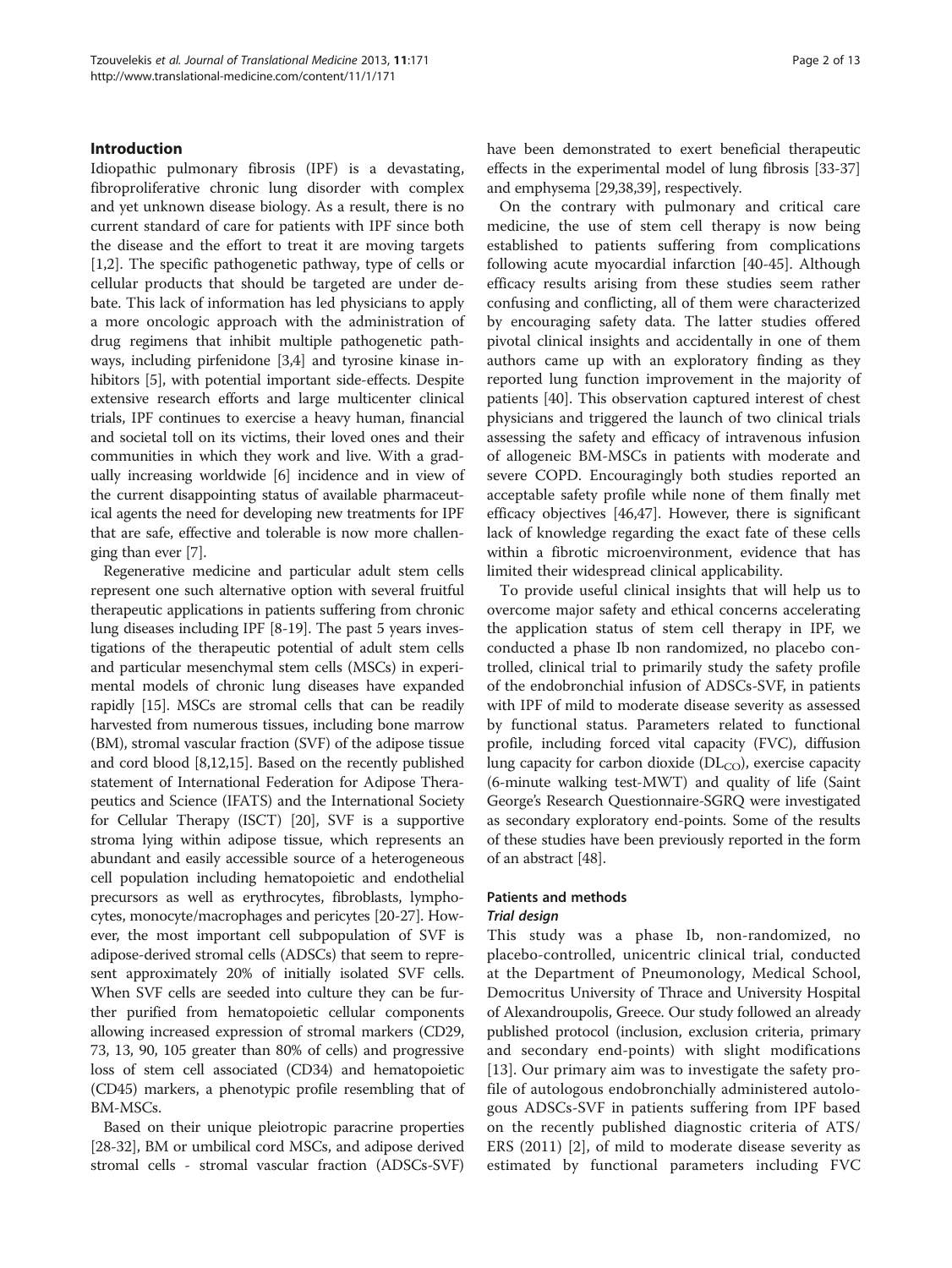### Introduction

Idiopathic pulmonary fibrosis (IPF) is a devastating, fibroproliferative chronic lung disorder with complex and yet unknown disease biology. As a result, there is no current standard of care for patients with IPF since both the disease and the effort to treat it are moving targets [[1,2\]](#page-10-0). The specific pathogenetic pathway, type of cells or cellular products that should be targeted are under debate. This lack of information has led physicians to apply a more oncologic approach with the administration of drug regimens that inhibit multiple pathogenetic pathways, including pirfenidone [\[3,4](#page-10-0)] and tyrosine kinase in-hibitors [[5\]](#page-10-0), with potential important side-effects. Despite extensive research efforts and large multicenter clinical trials, IPF continues to exercise a heavy human, financial and societal toll on its victims, their loved ones and their communities in which they work and live. With a gradually increasing worldwide [\[6\]](#page-10-0) incidence and in view of the current disappointing status of available pharmaceutical agents the need for developing new treatments for IPF that are safe, effective and tolerable is now more challenging than ever [\[7](#page-10-0)].

Regenerative medicine and particular adult stem cells represent one such alternative option with several fruitful therapeutic applications in patients suffering from chronic lung diseases including IPF [[8-19\]](#page-10-0). The past 5 years investigations of the therapeutic potential of adult stem cells and particular mesenchymal stem cells (MSCs) in experimental models of chronic lung diseases have expanded rapidly [[15](#page-10-0)]. MSCs are stromal cells that can be readily harvested from numerous tissues, including bone marrow (BM), stromal vascular fraction (SVF) of the adipose tissue and cord blood [[8](#page-10-0),[12,15\]](#page-10-0). Based on the recently published statement of International Federation for Adipose Therapeutics and Science (IFATS) and the International Society for Cellular Therapy (ISCT) [[20\]](#page-10-0), SVF is a supportive stroma lying within adipose tissue, which represents an abundant and easily accessible source of a heterogeneous cell population including hematopoietic and endothelial precursors as well as erythrocytes, fibroblasts, lymphocytes, monocyte/macrophages and pericytes [\[20](#page-10-0)[-27](#page-11-0)]. However, the most important cell subpopulation of SVF is adipose-derived stromal cells (ADSCs) that seem to represent approximately 20% of initially isolated SVF cells. When SVF cells are seeded into culture they can be further purified from hematopoietic cellular components allowing increased expression of stromal markers (CD29, 73, 13, 90, 105 greater than 80% of cells) and progressive loss of stem cell associated (CD34) and hematopoietic (CD45) markers, a phenotypic profile resembling that of BM-MSCs.

Based on their unique pleiotropic paracrine properties [[28](#page-11-0)-[32](#page-11-0)], BM or umbilical cord MSCs, and adipose derived stromal cells - stromal vascular fraction (ADSCs-SVF)

have been demonstrated to exert beneficial therapeutic effects in the experimental model of lung fibrosis [[33](#page-11-0)-[37](#page-11-0)] and emphysema [\[29,38,39](#page-11-0)], respectively.

On the contrary with pulmonary and critical care medicine, the use of stem cell therapy is now being established to patients suffering from complications following acute myocardial infarction [[40-45\]](#page-11-0). Although efficacy results arising from these studies seem rather confusing and conflicting, all of them were characterized by encouraging safety data. The latter studies offered pivotal clinical insights and accidentally in one of them authors came up with an exploratory finding as they reported lung function improvement in the majority of patients [\[40](#page-11-0)]. This observation captured interest of chest physicians and triggered the launch of two clinical trials assessing the safety and efficacy of intravenous infusion of allogeneic BM-MSCs in patients with moderate and severe COPD. Encouragingly both studies reported an acceptable safety profile while none of them finally met efficacy objectives [[46,47\]](#page-11-0). However, there is significant lack of knowledge regarding the exact fate of these cells within a fibrotic microenvironment, evidence that has limited their widespread clinical applicability.

To provide useful clinical insights that will help us to overcome major safety and ethical concerns accelerating the application status of stem cell therapy in IPF, we conducted a phase Ib non randomized, no placebo controlled, clinical trial to primarily study the safety profile of the endobronchial infusion of ADSCs-SVF, in patients with IPF of mild to moderate disease severity as assessed by functional status. Parameters related to functional profile, including forced vital capacity (FVC), diffusion lung capacity for carbon dioxide  $(DL_{CO})$ , exercise capacity (6-minute walking test-MWT) and quality of life (Saint George's Research Questionnaire-SGRQ were investigated as secondary exploratory end-points. Some of the results of these studies have been previously reported in the form of an abstract [\[48](#page-11-0)].

# Patients and methods

# Trial design

This study was a phase Ib, non-randomized, no placebo-controlled, unicentric clinical trial, conducted at the Department of Pneumonology, Medical School, Democritus University of Thrace and University Hospital of Alexandroupolis, Greece. Our study followed an already published protocol (inclusion, exclusion criteria, primary and secondary end-points) with slight modifications [[13](#page-10-0)]. Our primary aim was to investigate the safety profile of autologous endobronchially administered autologous ADSCs-SVF in patients suffering from IPF based on the recently published diagnostic criteria of ATS/ ERS (2011) [[2\]](#page-10-0), of mild to moderate disease severity as estimated by functional parameters including FVC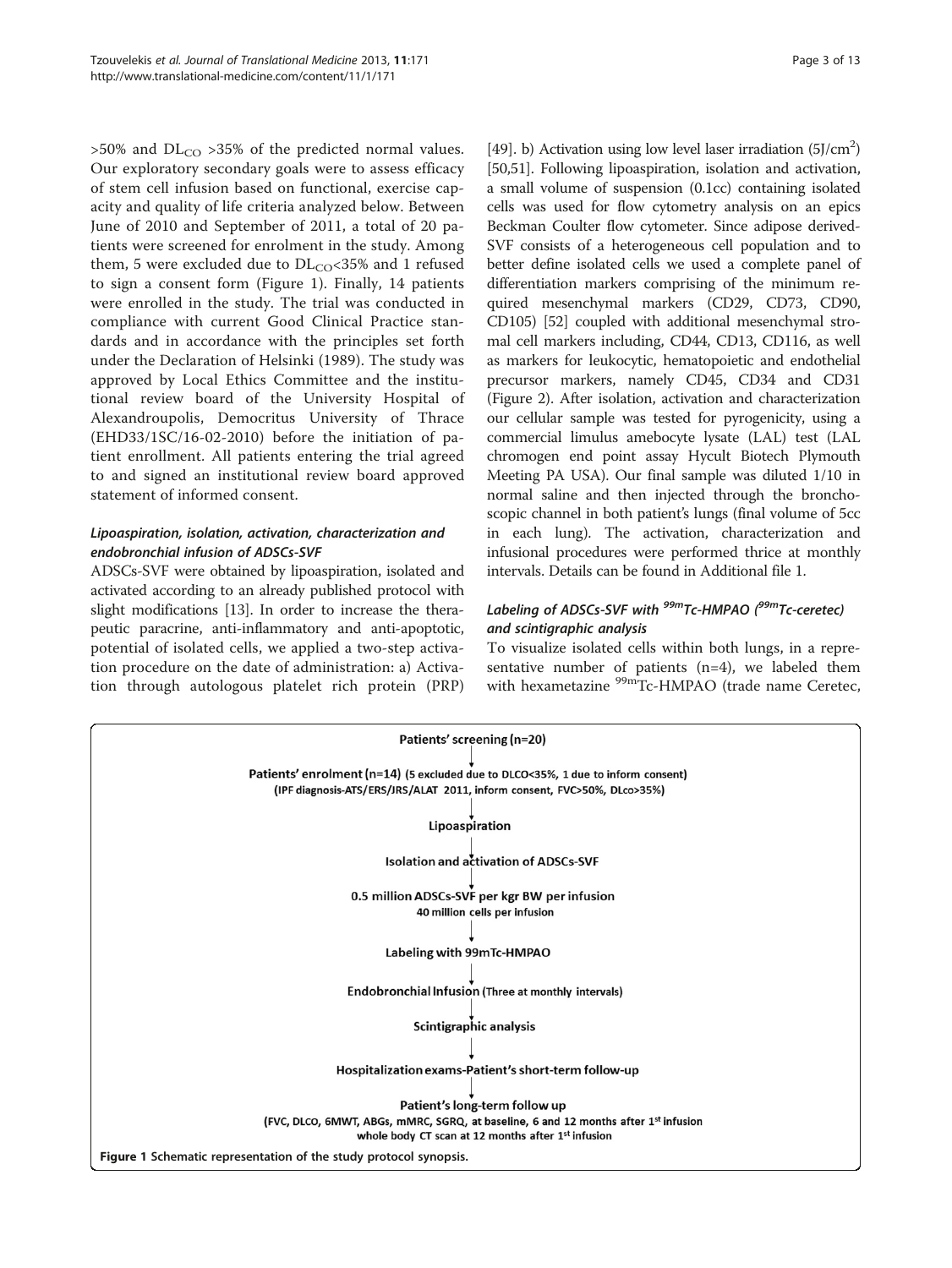$>50\%$  and DL $_{\rm CO}$   $>35\%$  of the predicted normal values. Our exploratory secondary goals were to assess efficacy of stem cell infusion based on functional, exercise capacity and quality of life criteria analyzed below. Between June of 2010 and September of 2011, a total of 20 patients were screened for enrolment in the study. Among them, 5 were excluded due to  $DL_{CO}$ <35% and 1 refused to sign a consent form (Figure 1). Finally, 14 patients were enrolled in the study. The trial was conducted in compliance with current Good Clinical Practice standards and in accordance with the principles set forth under the Declaration of Helsinki (1989). The study was approved by Local Ethics Committee and the institutional review board of the University Hospital of Alexandroupolis, Democritus University of Thrace (EHD33/1SC/16-02-2010) before the initiation of patient enrollment. All patients entering the trial agreed to and signed an institutional review board approved statement of informed consent.

# Lipoaspiration, isolation, activation, characterization and endobronchial infusion of ADSCs-SVF

ADSCs-SVF were obtained by lipoaspiration, isolated and activated according to an already published protocol with slight modifications [[13](#page-10-0)]. In order to increase the therapeutic paracrine, anti-inflammatory and anti-apoptotic, potential of isolated cells, we applied a two-step activation procedure on the date of administration: a) Activation through autologous platelet rich protein (PRP)

[[49\]](#page-11-0). b) Activation using low level laser irradiation  $(5)/cm<sup>2</sup>$ ) [[50,51](#page-11-0)]. Following lipoaspiration, isolation and activation, a small volume of suspension (0.1cc) containing isolated cells was used for flow cytometry analysis on an epics Beckman Coulter flow cytometer. Since adipose derived-SVF consists of a heterogeneous cell population and to better define isolated cells we used a complete panel of differentiation markers comprising of the minimum required mesenchymal markers (CD29, CD73, CD90, CD105) [\[52\]](#page-11-0) coupled with additional mesenchymal stromal cell markers including, CD44, CD13, CD116, as well as markers for leukocytic, hematopoietic and endothelial precursor markers, namely CD45, CD34 and CD31 (Figure [2](#page-3-0)). After isolation, activation and characterization our cellular sample was tested for pyrogenicity, using a commercial limulus amebocyte lysate (LAL) test (LAL chromogen end point assay Hycult Biotech Plymouth Meeting PA USA). Our final sample was diluted 1/10 in normal saline and then injected through the bronchoscopic channel in both patient's lungs (final volume of 5cc in each lung). The activation, characterization and infusional procedures were performed thrice at monthly intervals. Details can be found in Additional file [1](#page-9-0).

# Labeling of ADSCs-SVF with  $^{99m}$ Tc-HMPAO ( $^{99m}$ Tc-ceretec) and scintigraphic analysis

To visualize isolated cells within both lungs, in a representative number of patients  $(n=4)$ , we labeled them with hexametazine <sup>99m</sup>Tc-HMPAO (trade name Ceretec,

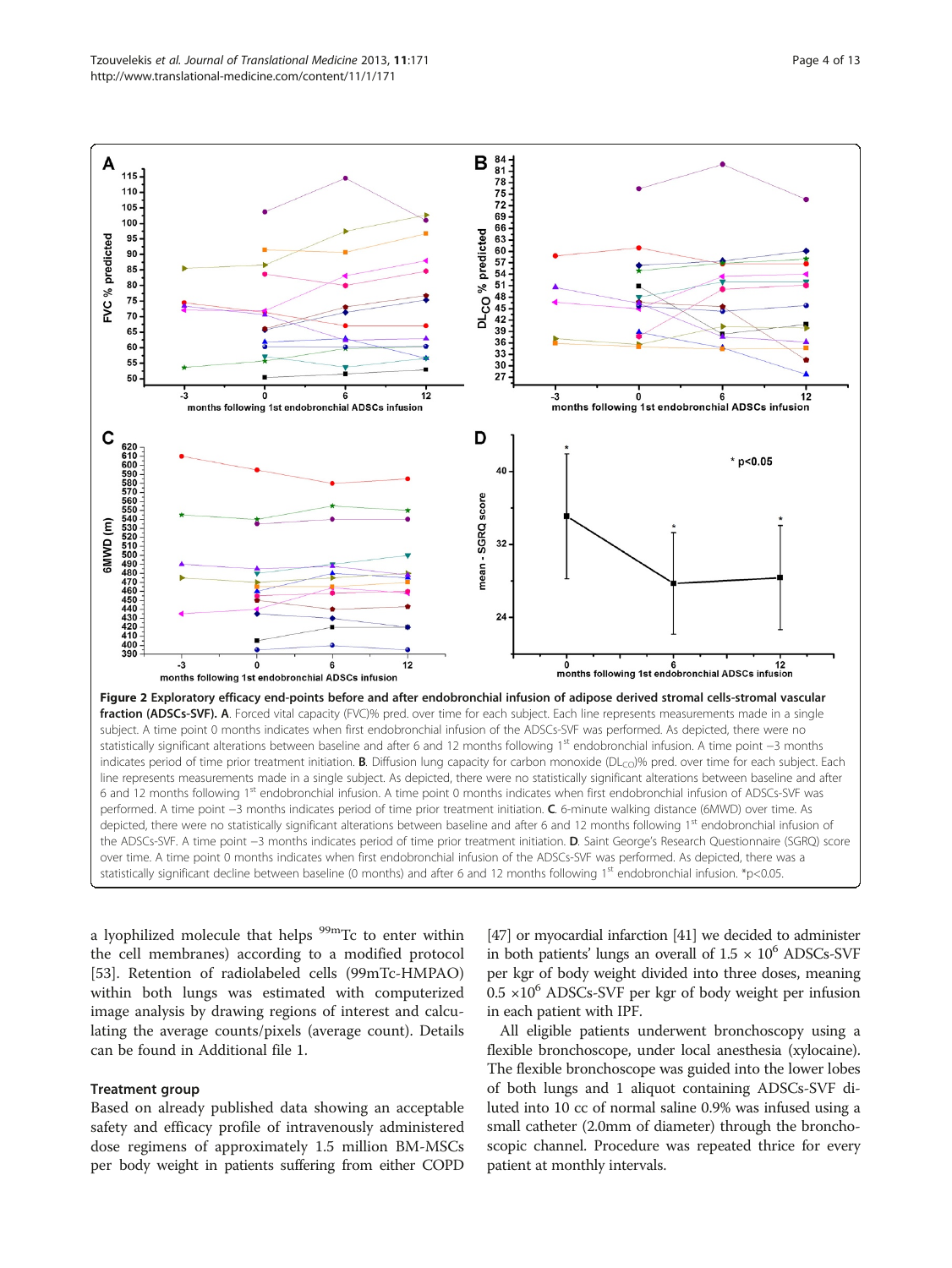<span id="page-3-0"></span>

a lyophilized molecule that helps  $99m$ Tc to enter within the cell membranes) according to a modified protocol [[53\]](#page-11-0). Retention of radiolabeled cells (99mTc-HMPAO) within both lungs was estimated with computerized image analysis by drawing regions of interest and calculating the average counts/pixels (average count). Details can be found in Additional file [1](#page-9-0).

#### Treatment group

Based on already published data showing an acceptable safety and efficacy profile of intravenously administered dose regimens of approximately 1.5 million BM-MSCs per body weight in patients suffering from either COPD

[[47](#page-11-0)] or myocardial infarction [[41](#page-11-0)] we decided to administer in both patients' lungs an overall of  $1.5 \times 10^6$  ADSCs-SVF per kgr of body weight divided into three doses, meaning  $0.5 \times 10^6$  ADSCs-SVF per kgr of body weight per infusion in each patient with IPF.

All eligible patients underwent bronchoscopy using a flexible bronchoscope, under local anesthesia (xylocaine). The flexible bronchoscope was guided into the lower lobes of both lungs and 1 aliquot containing ADSCs-SVF diluted into 10 cc of normal saline 0.9% was infused using a small catheter (2.0mm of diameter) through the bronchoscopic channel. Procedure was repeated thrice for every patient at monthly intervals.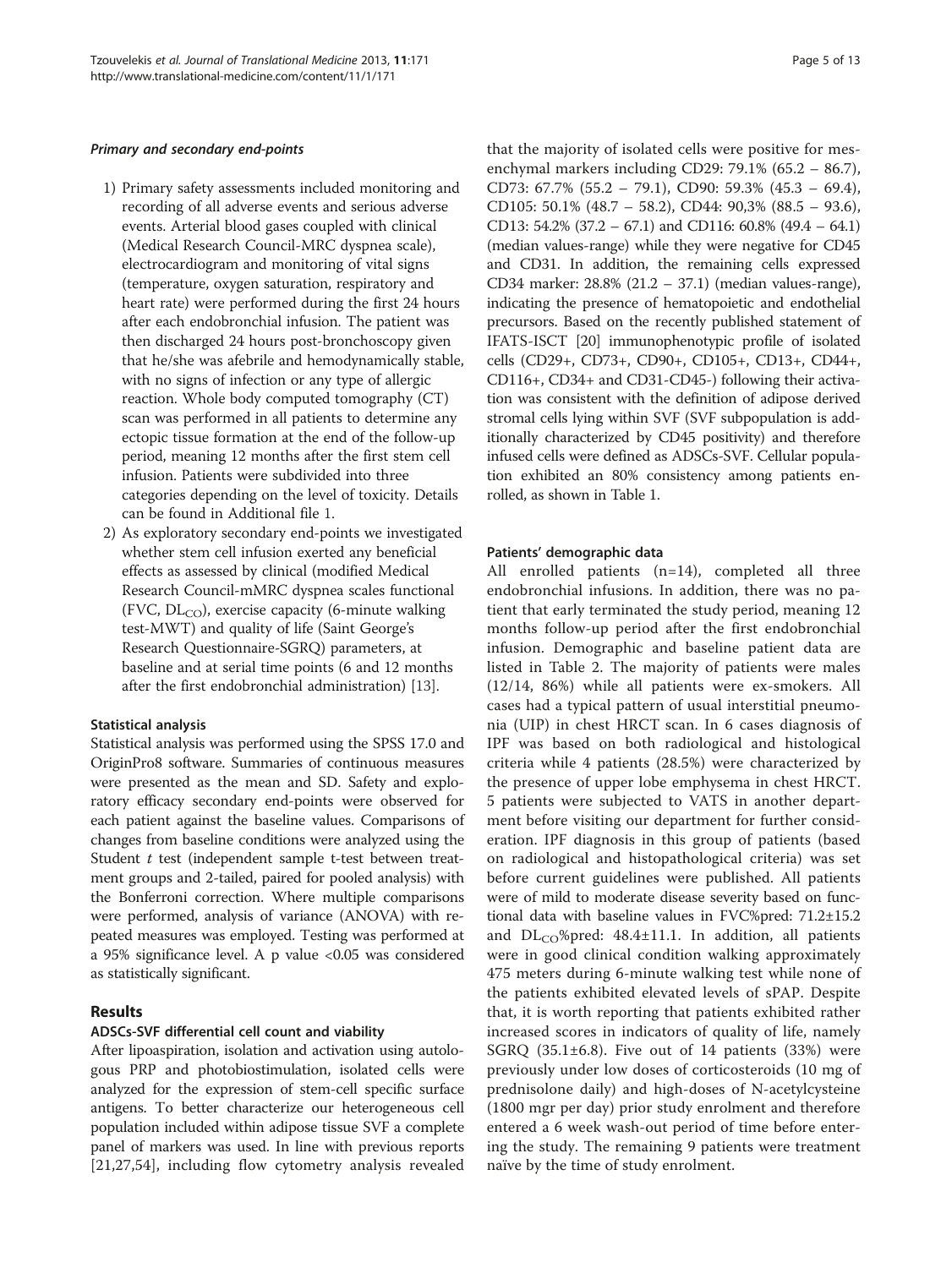#### Primary and secondary end-points

- 1) Primary safety assessments included monitoring and recording of all adverse events and serious adverse events. Arterial blood gases coupled with clinical (Medical Research Council-MRC dyspnea scale), electrocardiogram and monitoring of vital signs (temperature, oxygen saturation, respiratory and heart rate) were performed during the first 24 hours after each endobronchial infusion. The patient was then discharged 24 hours post-bronchoscopy given that he/she was afebrile and hemodynamically stable, with no signs of infection or any type of allergic reaction. Whole body computed tomography (CT) scan was performed in all patients to determine any ectopic tissue formation at the end of the follow-up period, meaning 12 months after the first stem cell infusion. Patients were subdivided into three categories depending on the level of toxicity. Details can be found in Additional file [1](#page-9-0).
- 2) As exploratory secondary end-points we investigated whether stem cell infusion exerted any beneficial effects as assessed by clinical (modified Medical Research Council-mMRC dyspnea scales functional (FVC,  $DL_{CO}$ ), exercise capacity (6-minute walking test-MWT) and quality of life (Saint George's Research Questionnaire-SGRQ) parameters, at baseline and at serial time points (6 and 12 months after the first endobronchial administration) [\[13\]](#page-10-0).

#### Statistical analysis

Statistical analysis was performed using the SPSS 17.0 and OriginPro8 software. Summaries of continuous measures were presented as the mean and SD. Safety and exploratory efficacy secondary end-points were observed for each patient against the baseline values. Comparisons of changes from baseline conditions were analyzed using the Student t test (independent sample t-test between treatment groups and 2-tailed, paired for pooled analysis) with the Bonferroni correction. Where multiple comparisons were performed, analysis of variance (ANOVA) with repeated measures was employed. Testing was performed at a 95% significance level. A p value <0.05 was considered as statistically significant.

#### Results

# ADSCs-SVF differential cell count and viability

After lipoaspiration, isolation and activation using autologous PRP and photobiostimulation, isolated cells were analyzed for the expression of stem-cell specific surface antigens. To better characterize our heterogeneous cell population included within adipose tissue SVF a complete panel of markers was used. In line with previous reports [[21](#page-10-0)[,27,54\]](#page-11-0), including flow cytometry analysis revealed that the majority of isolated cells were positive for mesenchymal markers including CD29: 79.1% (65.2 – 86.7), CD73: 67.7% (55.2 – 79.1), CD90: 59.3% (45.3 – 69.4), CD105: 50.1% (48.7 – 58.2), CD44: 90,3% (88.5 – 93.6), CD13: 54.2% (37.2 – 67.1) and CD116: 60.8% (49.4 – 64.1) (median values-range) while they were negative for CD45 and CD31. In addition, the remaining cells expressed CD34 marker: 28.8% (21.2 – 37.1) (median values-range), indicating the presence of hematopoietic and endothelial precursors. Based on the recently published statement of IFATS-ISCT [\[20\]](#page-10-0) immunophenotypic profile of isolated cells (CD29+, CD73+, CD90+, CD105+, CD13+, CD44+, CD116+, CD34+ and CD31-CD45-) following their activation was consistent with the definition of adipose derived stromal cells lying within SVF (SVF subpopulation is additionally characterized by CD45 positivity) and therefore infused cells were defined as ADSCs-SVF. Cellular population exhibited an 80% consistency among patients enrolled, as shown in Table [1](#page-5-0).

#### Patients' demographic data

All enrolled patients (n=14), completed all three endobronchial infusions. In addition, there was no patient that early terminated the study period, meaning 12 months follow-up period after the first endobronchial infusion. Demographic and baseline patient data are listed in Table [2](#page-6-0). The majority of patients were males (12/14, 86%) while all patients were ex-smokers. All cases had a typical pattern of usual interstitial pneumonia (UIP) in chest HRCT scan. In 6 cases diagnosis of IPF was based on both radiological and histological criteria while 4 patients (28.5%) were characterized by the presence of upper lobe emphysema in chest HRCT. 5 patients were subjected to VATS in another department before visiting our department for further consideration. IPF diagnosis in this group of patients (based on radiological and histopathological criteria) was set before current guidelines were published. All patients were of mild to moderate disease severity based on functional data with baseline values in FVC%pred: 71.2±15.2 and  $DL_{CO}$ % pred: 48.4 $\pm$ 11.1. In addition, all patients were in good clinical condition walking approximately 475 meters during 6-minute walking test while none of the patients exhibited elevated levels of sPAP. Despite that, it is worth reporting that patients exhibited rather increased scores in indicators of quality of life, namely SGRQ  $(35.1\pm6.8)$ . Five out of 14 patients  $(33%)$  were previously under low doses of corticosteroids (10 mg of prednisolone daily) and high-doses of N-acetylcysteine (1800 mgr per day) prior study enrolment and therefore entered a 6 week wash-out period of time before entering the study. The remaining 9 patients were treatment naïve by the time of study enrolment.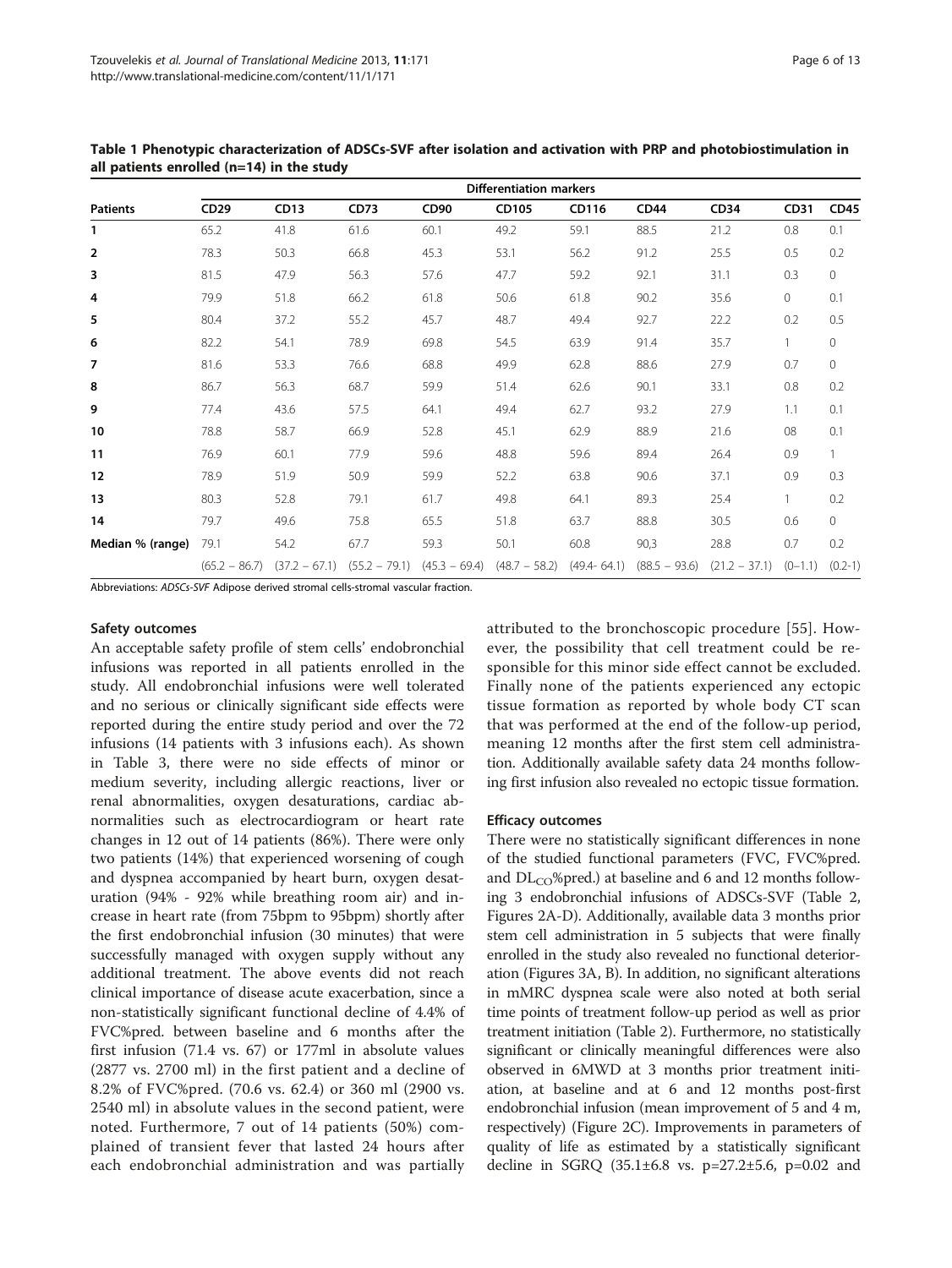|                  | <b>Differentiation markers</b> |                 |                 |                 |                 |                 |                 |                 |           |                     |  |
|------------------|--------------------------------|-----------------|-----------------|-----------------|-----------------|-----------------|-----------------|-----------------|-----------|---------------------|--|
| <b>Patients</b>  | <b>CD29</b>                    | CD13            | <b>CD73</b>     | CD90            | CD105           | CD116           | <b>CD44</b>     | <b>CD34</b>     | CD31      | <b>CD45</b>         |  |
| 1                | 65.2                           | 41.8            | 61.6            | 60.1            | 49.2            | 59.1            | 88.5            | 21.2            | 0.8       | 0.1                 |  |
| $\overline{2}$   | 78.3                           | 50.3            | 66.8            | 45.3            | 53.1            | 56.2            | 91.2            | 25.5            | 0.5       | 0.2                 |  |
| 3                | 81.5                           | 47.9            | 56.3            | 57.6            | 47.7            | 59.2            | 92.1            | 31.1            | 0.3       | 0                   |  |
| 4                | 79.9                           | 51.8            | 66.2            | 61.8            | 50.6            | 61.8            | 90.2            | 35.6            | 0         | 0.1                 |  |
| 5                | 80.4                           | 37.2            | 55.2            | 45.7            | 48.7            | 49.4            | 92.7            | 22.2            | 0.2       | 0.5                 |  |
| 6                | 82.2                           | 54.1            | 78.9            | 69.8            | 54.5            | 63.9            | 91.4            | 35.7            |           | $\mathsf{O}\xspace$ |  |
| $\overline{7}$   | 81.6                           | 53.3            | 76.6            | 68.8            | 49.9            | 62.8            | 88.6            | 27.9            | 0.7       | $\mathsf{O}\xspace$ |  |
| 8                | 86.7                           | 56.3            | 68.7            | 59.9            | 51.4            | 62.6            | 90.1            | 33.1            | 0.8       | 0.2                 |  |
| 9                | 77.4                           | 43.6            | 57.5            | 64.1            | 49.4            | 62.7            | 93.2            | 27.9            | 1.1       | 0.1                 |  |
| 10               | 78.8                           | 58.7            | 66.9            | 52.8            | 45.1            | 62.9            | 88.9            | 21.6            | 08        | 0.1                 |  |
| 11               | 76.9                           | 60.1            | 77.9            | 59.6            | 48.8            | 59.6            | 89.4            | 26.4            | 0.9       | 1                   |  |
| 12               | 78.9                           | 51.9            | 50.9            | 59.9            | 52.2            | 63.8            | 90.6            | 37.1            | 0.9       | 0.3                 |  |
| 13               | 80.3                           | 52.8            | 79.1            | 61.7            | 49.8            | 64.1            | 89.3            | 25.4            | 1         | 0.2                 |  |
| 14               | 79.7                           | 49.6            | 75.8            | 65.5            | 51.8            | 63.7            | 88.8            | 30.5            | 0.6       | $\circ$             |  |
| Median % (range) | 79.1                           | 54.2            | 67.7            | 59.3            | 50.1            | 60.8            | 90,3            | 28.8            | 0.7       | 0.2                 |  |
|                  | $(65.2 - 86.7)$                | $(37.2 - 67.1)$ | $(55.2 - 79.1)$ | $(45.3 - 69.4)$ | $(48.7 - 58.2)$ | $(49.4 - 64.1)$ | $(88.5 - 93.6)$ | $(21.2 - 37.1)$ | $(0-1.1)$ | $(0.2-1)$           |  |

<span id="page-5-0"></span>Table 1 Phenotypic characterization of ADSCs-SVF after isolation and activation with PRP and photobiostimulation in all patients enrolled (n=14) in the study

Abbreviations: ADSCs-SVF Adipose derived stromal cells-stromal vascular fraction.

#### Safety outcomes

An acceptable safety profile of stem cells' endobronchial infusions was reported in all patients enrolled in the study. All endobronchial infusions were well tolerated and no serious or clinically significant side effects were reported during the entire study period and over the 72 infusions (14 patients with 3 infusions each). As shown in Table [3](#page-6-0), there were no side effects of minor or medium severity, including allergic reactions, liver or renal abnormalities, oxygen desaturations, cardiac abnormalities such as electrocardiogram or heart rate changes in 12 out of 14 patients (86%). There were only two patients (14%) that experienced worsening of cough and dyspnea accompanied by heart burn, oxygen desaturation (94% - 92% while breathing room air) and increase in heart rate (from 75bpm to 95bpm) shortly after the first endobronchial infusion (30 minutes) that were successfully managed with oxygen supply without any additional treatment. The above events did not reach clinical importance of disease acute exacerbation, since a non-statistically significant functional decline of 4.4% of FVC%pred. between baseline and 6 months after the first infusion (71.4 vs. 67) or 177ml in absolute values (2877 vs. 2700 ml) in the first patient and a decline of 8.2% of FVC%pred. (70.6 vs. 62.4) or 360 ml (2900 vs. 2540 ml) in absolute values in the second patient, were noted. Furthermore, 7 out of 14 patients (50%) complained of transient fever that lasted 24 hours after each endobronchial administration and was partially attributed to the bronchoscopic procedure [\[55\]](#page-11-0). However, the possibility that cell treatment could be responsible for this minor side effect cannot be excluded. Finally none of the patients experienced any ectopic tissue formation as reported by whole body CT scan that was performed at the end of the follow-up period, meaning 12 months after the first stem cell administration. Additionally available safety data 24 months following first infusion also revealed no ectopic tissue formation.

#### Efficacy outcomes

There were no statistically significant differences in none of the studied functional parameters (FVC, FVC%pred. and  $DL_{CO}$ %pred.) at baseline and 6 and 12 months following 3 endobronchial infusions of ADSCs-SVF (Table [2](#page-6-0), Figures [2](#page-3-0)A-D). Additionally, available data 3 months prior stem cell administration in 5 subjects that were finally enrolled in the study also revealed no functional deterioration (Figures [3A](#page-7-0), B). In addition, no significant alterations in mMRC dyspnea scale were also noted at both serial time points of treatment follow-up period as well as prior treatment initiation (Table [2\)](#page-6-0). Furthermore, no statistically significant or clinically meaningful differences were also observed in 6MWD at 3 months prior treatment initiation, at baseline and at 6 and 12 months post-first endobronchial infusion (mean improvement of 5 and 4 m, respectively) (Figure [2](#page-3-0)C). Improvements in parameters of quality of life as estimated by a statistically significant decline in SGRQ (35.1±6.8 vs. p=27.2±5.6, p=0.02 and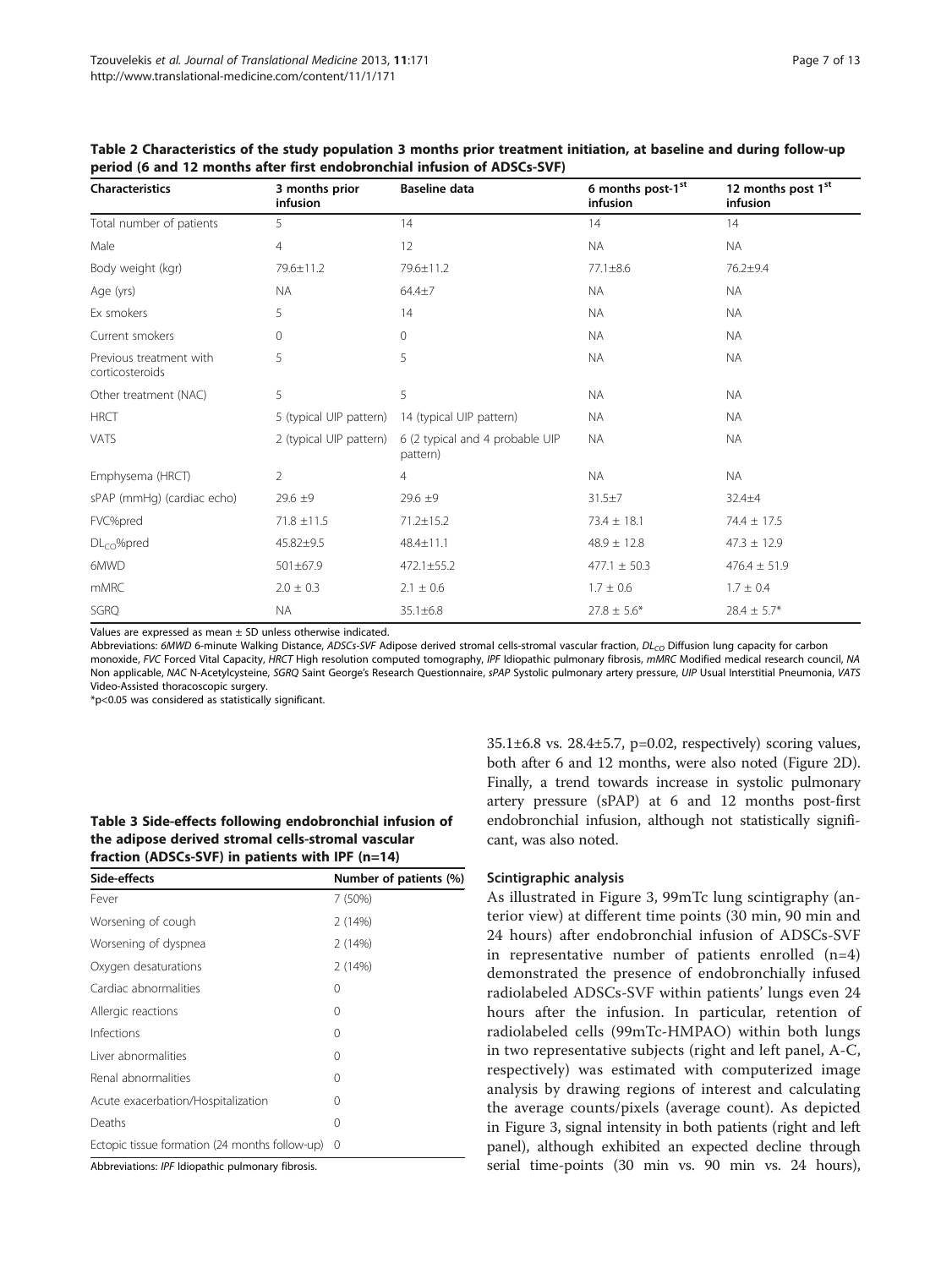| <b>Characteristics</b>                     | 3 months prior<br>infusion | <b>Baseline data</b>                        | 6 months post-1st<br>infusion | 12 months post 1st<br>infusion |
|--------------------------------------------|----------------------------|---------------------------------------------|-------------------------------|--------------------------------|
| Total number of patients                   | 5                          | 14                                          | 14                            | 14                             |
| Male                                       | 4                          | 12                                          | <b>NA</b>                     | <b>NA</b>                      |
| Body weight (kgr)                          | 79.6±11.2                  | 79.6±11.2                                   | 77.1±8.6                      | 76.2±9.4                       |
| Age (yrs)                                  | <b>NA</b>                  | 64.4±7                                      | <b>NA</b>                     | <b>NA</b>                      |
| Ex smokers                                 | 5                          | 14                                          | <b>NA</b>                     | NA.                            |
| Current smokers                            | $\mathbf{0}$               | $\circ$                                     | <b>NA</b>                     | <b>NA</b>                      |
| Previous treatment with<br>corticosteroids | 5                          | 5                                           | <b>NA</b>                     | <b>NA</b>                      |
| Other treatment (NAC)                      | 5                          | 5                                           | <b>NA</b>                     | <b>NA</b>                      |
| <b>HRCT</b>                                | 5 (typical UIP pattern)    | 14 (typical UIP pattern)                    | <b>NA</b>                     | <b>NA</b>                      |
| <b>VATS</b>                                | 2 (typical UIP pattern)    | 6 (2 typical and 4 probable UIP<br>pattern) | <b>NA</b>                     | <b>NA</b>                      |
| Emphysema (HRCT)                           | 2                          | 4                                           | <b>NA</b>                     | <b>NA</b>                      |
| sPAP (mmHg) (cardiac echo)                 | $29.6 \pm 9$               | $29.6 \pm 9$                                | $31.5 \pm 7$                  | 32.4±4                         |
| FVC%pred                                   | $71.8 \pm 11.5$            | 71.2±15.2                                   | $73.4 \pm 18.1$               | $74.4 \pm 17.5$                |
| $DL_{CO}$ %pred                            | 45.82±9.5                  | 48.4±11.1                                   | $48.9 \pm 12.8$               | $47.3 \pm 12.9$                |
| 6MWD                                       | 501±67.9                   | 472.1±55.2                                  | $477.1 \pm 50.3$              | $476.4 \pm 51.9$               |
| <b>mMRC</b>                                | $2.0 \pm 0.3$              | $2.1 \pm 0.6$                               | $1.7 \pm 0.6$                 | $1.7 \pm 0.4$                  |
| SGRQ                                       | <b>NA</b>                  | $35.1 \pm 6.8$                              | $27.8 \pm 5.6*$               | $28.4 \pm 5.7*$                |

<span id="page-6-0"></span>Table 2 Characteristics of the study population 3 months prior treatment initiation, at baseline and during follow-up period (6 and 12 months after first endobronchial infusion of ADSCs-SVF)

Values are expressed as mean  $\pm$  SD unless otherwise indicated.

Abbreviations: 6MWD 6-minute Walking Distance, ADSCs-SVF Adipose derived stromal cells-stromal vascular fraction, DL<sub>CO</sub> Diffusion lung capacity for carbon monoxide, FVC Forced Vital Capacity, HRCT High resolution computed tomography, IPF Idiopathic pulmonary fibrosis, mMRC Modified medical research council, NA Non applicable, NAC N-Acetylcysteine, SGRQ Saint George's Research Questionnaire, sPAP Systolic pulmonary artery pressure, UIP Usual Interstitial Pneumonia, VATS Video-Assisted thoracoscopic surgery.

\*p<0.05 was considered as statistically significant.

| Table 3 Side-effects following endobronchial infusion of |
|----------------------------------------------------------|
| the adipose derived stromal cells-stromal vascular       |
| fraction (ADSCs-SVF) in patients with IPF $(n=14)$       |

| Side-effects                                   | Number of patients (%) |
|------------------------------------------------|------------------------|
| Fever                                          | 7 (50%)                |
| Worsening of cough                             | 2(14%)                 |
| Worsening of dyspnea                           | 2(14%)                 |
| Oxygen desaturations                           | 2(14%)                 |
| Cardiac abnormalities                          | 0                      |
| Allergic reactions                             | 0                      |
| Infections                                     | 0                      |
| Liver abnormalities                            | 0                      |
| Renal abnormalities                            | 0                      |
| Acute exacerbation/Hospitalization             | $\left( \right)$       |
| Deaths                                         | 0                      |
| Ectopic tissue formation (24 months follow-up) | 0                      |

Abbreviations: IPF Idiopathic pulmonary fibrosis.

 $35.1\pm6.8$  vs.  $28.4\pm5.7$ , p=0.02, respectively) scoring values, both after 6 and 12 months, were also noted (Figure [2](#page-3-0)D). Finally, a trend towards increase in systolic pulmonary artery pressure (sPAP) at 6 and 12 months post-first endobronchial infusion, although not statistically significant, was also noted.

#### Scintigraphic analysis

As illustrated in Figure [3](#page-7-0), 99mTc lung scintigraphy (anterior view) at different time points (30 min, 90 min and 24 hours) after endobronchial infusion of ADSCs-SVF in representative number of patients enrolled  $(n=4)$ demonstrated the presence of endobronchially infused radiolabeled ADSCs-SVF within patients' lungs even 24 hours after the infusion. In particular, retention of radiolabeled cells (99mTc-HMPAO) within both lungs in two representative subjects (right and left panel, A-C, respectively) was estimated with computerized image analysis by drawing regions of interest and calculating the average counts/pixels (average count). As depicted in Figure [3,](#page-7-0) signal intensity in both patients (right and left panel), although exhibited an expected decline through serial time-points (30 min vs. 90 min vs. 24 hours),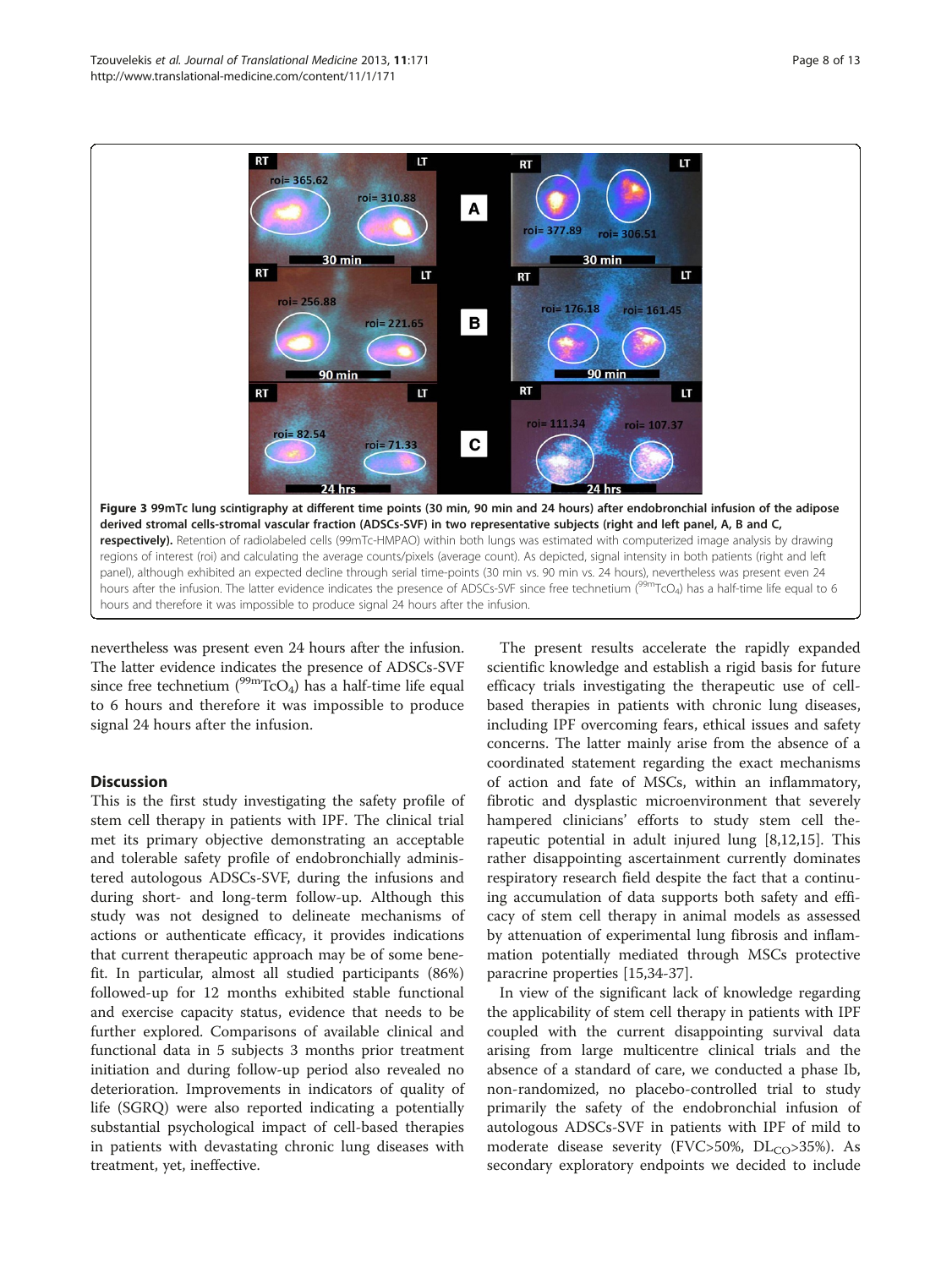<span id="page-7-0"></span>

nevertheless was present even 24 hours after the infusion. The latter evidence indicates the presence of ADSCs-SVF since free technetium  $(^{99m}TcO_4)$  has a half-time life equal to 6 hours and therefore it was impossible to produce signal 24 hours after the infusion.

# **Discussion**

This is the first study investigating the safety profile of stem cell therapy in patients with IPF. The clinical trial met its primary objective demonstrating an acceptable and tolerable safety profile of endobronchially administered autologous ADSCs-SVF, during the infusions and during short- and long-term follow-up. Although this study was not designed to delineate mechanisms of actions or authenticate efficacy, it provides indications that current therapeutic approach may be of some benefit. In particular, almost all studied participants (86%) followed-up for 12 months exhibited stable functional and exercise capacity status, evidence that needs to be further explored. Comparisons of available clinical and functional data in 5 subjects 3 months prior treatment initiation and during follow-up period also revealed no deterioration. Improvements in indicators of quality of life (SGRQ) were also reported indicating a potentially substantial psychological impact of cell-based therapies in patients with devastating chronic lung diseases with treatment, yet, ineffective.

The present results accelerate the rapidly expanded scientific knowledge and establish a rigid basis for future efficacy trials investigating the therapeutic use of cellbased therapies in patients with chronic lung diseases, including IPF overcoming fears, ethical issues and safety concerns. The latter mainly arise from the absence of a coordinated statement regarding the exact mechanisms of action and fate of MSCs, within an inflammatory, fibrotic and dysplastic microenvironment that severely hampered clinicians' efforts to study stem cell therapeutic potential in adult injured lung [\[8](#page-10-0),[12](#page-10-0),[15](#page-10-0)]. This rather disappointing ascertainment currently dominates respiratory research field despite the fact that a continuing accumulation of data supports both safety and efficacy of stem cell therapy in animal models as assessed by attenuation of experimental lung fibrosis and inflammation potentially mediated through MSCs protective paracrine properties [\[15,](#page-10-0)[34-37](#page-11-0)].

In view of the significant lack of knowledge regarding the applicability of stem cell therapy in patients with IPF coupled with the current disappointing survival data arising from large multicentre clinical trials and the absence of a standard of care, we conducted a phase Ib, non-randomized, no placebo-controlled trial to study primarily the safety of the endobronchial infusion of autologous ADSCs-SVF in patients with IPF of mild to moderate disease severity (FVC>50%,  $DL_{CO}$ >35%). As secondary exploratory endpoints we decided to include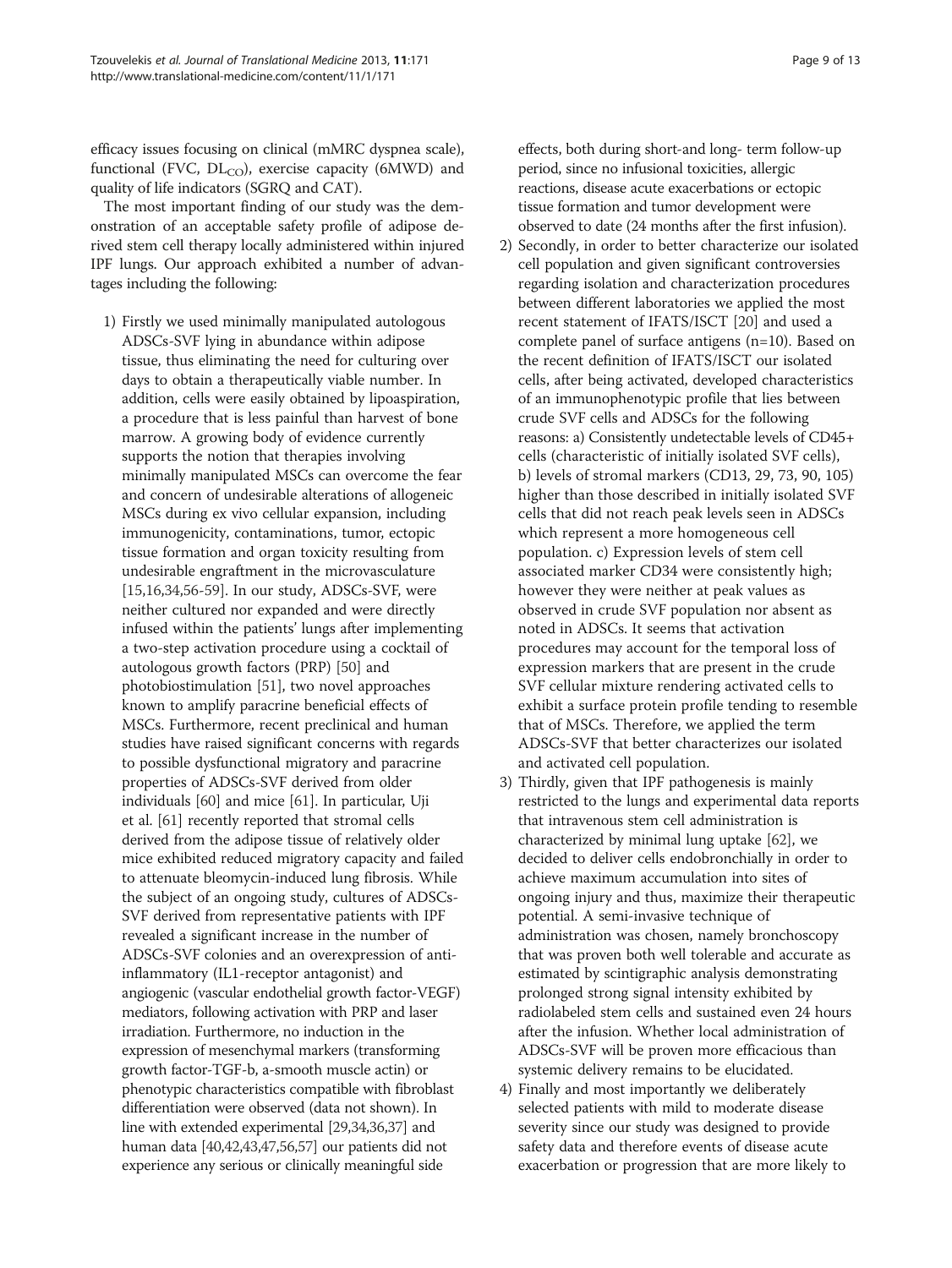efficacy issues focusing on clinical (mMRC dyspnea scale), functional (FVC,  $DL_{CO}$ ), exercise capacity (6MWD) and quality of life indicators (SGRQ and CAT).

The most important finding of our study was the demonstration of an acceptable safety profile of adipose derived stem cell therapy locally administered within injured IPF lungs. Our approach exhibited a number of advantages including the following:

1) Firstly we used minimally manipulated autologous ADSCs-SVF lying in abundance within adipose tissue, thus eliminating the need for culturing over days to obtain a therapeutically viable number. In addition, cells were easily obtained by lipoaspiration, a procedure that is less painful than harvest of bone marrow. A growing body of evidence currently supports the notion that therapies involving minimally manipulated MSCs can overcome the fear and concern of undesirable alterations of allogeneic MSCs during ex vivo cellular expansion, including immunogenicity, contaminations, tumor, ectopic tissue formation and organ toxicity resulting from undesirable engraftment in the microvasculature [\[15,16,](#page-10-0)[34,56](#page-11-0)-[59\]](#page-11-0). In our study, ADSCs-SVF, were neither cultured nor expanded and were directly infused within the patients' lungs after implementing a two-step activation procedure using a cocktail of autologous growth factors (PRP) [\[50](#page-11-0)] and photobiostimulation [[51](#page-11-0)], two novel approaches known to amplify paracrine beneficial effects of MSCs. Furthermore, recent preclinical and human studies have raised significant concerns with regards to possible dysfunctional migratory and paracrine properties of ADSCs-SVF derived from older individuals [\[60](#page-11-0)] and mice [\[61\]](#page-11-0). In particular, Uji et al. [[61](#page-11-0)] recently reported that stromal cells derived from the adipose tissue of relatively older mice exhibited reduced migratory capacity and failed to attenuate bleomycin-induced lung fibrosis. While the subject of an ongoing study, cultures of ADSCs-SVF derived from representative patients with IPF revealed a significant increase in the number of ADSCs-SVF colonies and an overexpression of antiinflammatory (IL1-receptor antagonist) and angiogenic (vascular endothelial growth factor-VEGF) mediators, following activation with PRP and laser irradiation. Furthermore, no induction in the expression of mesenchymal markers (transforming growth factor-TGF-b, a-smooth muscle actin) or phenotypic characteristics compatible with fibroblast differentiation were observed (data not shown). In line with extended experimental [\[29,34,36,37](#page-11-0)] and human data [\[40,42,43,47,56,57\]](#page-11-0) our patients did not experience any serious or clinically meaningful side

effects, both during short-and long- term follow-up period, since no infusional toxicities, allergic reactions, disease acute exacerbations or ectopic tissue formation and tumor development were observed to date (24 months after the first infusion).

- 2) Secondly, in order to better characterize our isolated cell population and given significant controversies regarding isolation and characterization procedures between different laboratories we applied the most recent statement of IFATS/ISCT [[20\]](#page-10-0) and used a complete panel of surface antigens (n=10). Based on the recent definition of IFATS/ISCT our isolated cells, after being activated, developed characteristics of an immunophenotypic profile that lies between crude SVF cells and ADSCs for the following reasons: a) Consistently undetectable levels of CD45+ cells (characteristic of initially isolated SVF cells), b) levels of stromal markers (CD13, 29, 73, 90, 105) higher than those described in initially isolated SVF cells that did not reach peak levels seen in ADSCs which represent a more homogeneous cell population. c) Expression levels of stem cell associated marker CD34 were consistently high; however they were neither at peak values as observed in crude SVF population nor absent as noted in ADSCs. It seems that activation procedures may account for the temporal loss of expression markers that are present in the crude SVF cellular mixture rendering activated cells to exhibit a surface protein profile tending to resemble that of MSCs. Therefore, we applied the term ADSCs-SVF that better characterizes our isolated and activated cell population.
- 3) Thirdly, given that IPF pathogenesis is mainly restricted to the lungs and experimental data reports that intravenous stem cell administration is characterized by minimal lung uptake [[62](#page-11-0)], we decided to deliver cells endobronchially in order to achieve maximum accumulation into sites of ongoing injury and thus, maximize their therapeutic potential. A semi-invasive technique of administration was chosen, namely bronchoscopy that was proven both well tolerable and accurate as estimated by scintigraphic analysis demonstrating prolonged strong signal intensity exhibited by radiolabeled stem cells and sustained even 24 hours after the infusion. Whether local administration of ADSCs-SVF will be proven more efficacious than systemic delivery remains to be elucidated.
- 4) Finally and most importantly we deliberately selected patients with mild to moderate disease severity since our study was designed to provide safety data and therefore events of disease acute exacerbation or progression that are more likely to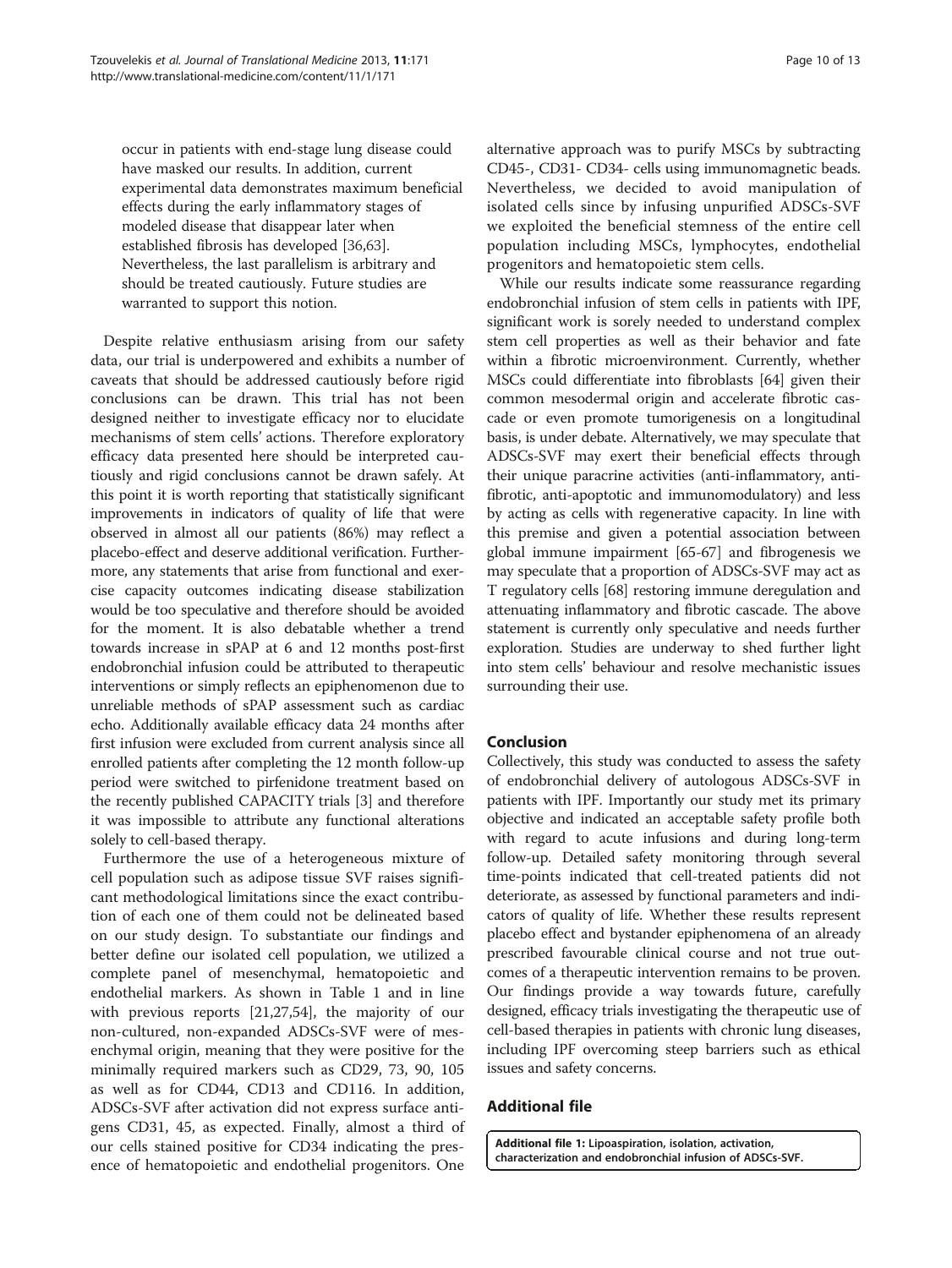<span id="page-9-0"></span>occur in patients with end-stage lung disease could have masked our results. In addition, current experimental data demonstrates maximum beneficial effects during the early inflammatory stages of modeled disease that disappear later when established fibrosis has developed [\[36,63\]](#page-11-0). Nevertheless, the last parallelism is arbitrary and should be treated cautiously. Future studies are warranted to support this notion.

Despite relative enthusiasm arising from our safety data, our trial is underpowered and exhibits a number of caveats that should be addressed cautiously before rigid conclusions can be drawn. This trial has not been designed neither to investigate efficacy nor to elucidate mechanisms of stem cells' actions. Therefore exploratory efficacy data presented here should be interpreted cautiously and rigid conclusions cannot be drawn safely. At this point it is worth reporting that statistically significant improvements in indicators of quality of life that were observed in almost all our patients (86%) may reflect a placebo-effect and deserve additional verification. Furthermore, any statements that arise from functional and exercise capacity outcomes indicating disease stabilization would be too speculative and therefore should be avoided for the moment. It is also debatable whether a trend towards increase in sPAP at 6 and 12 months post-first endobronchial infusion could be attributed to therapeutic interventions or simply reflects an epiphenomenon due to unreliable methods of sPAP assessment such as cardiac echo. Additionally available efficacy data 24 months after first infusion were excluded from current analysis since all enrolled patients after completing the 12 month follow-up period were switched to pirfenidone treatment based on the recently published CAPACITY trials [\[3](#page-10-0)] and therefore it was impossible to attribute any functional alterations solely to cell-based therapy.

Furthermore the use of a heterogeneous mixture of cell population such as adipose tissue SVF raises significant methodological limitations since the exact contribution of each one of them could not be delineated based on our study design. To substantiate our findings and better define our isolated cell population, we utilized a complete panel of mesenchymal, hematopoietic and endothelial markers. As shown in Table [1](#page-5-0) and in line with previous reports [\[21](#page-10-0)[,27,54\]](#page-11-0), the majority of our non-cultured, non-expanded ADSCs-SVF were of mesenchymal origin, meaning that they were positive for the minimally required markers such as CD29, 73, 90, 105 as well as for CD44, CD13 and CD116. In addition, ADSCs-SVF after activation did not express surface antigens CD31, 45, as expected. Finally, almost a third of our cells stained positive for CD34 indicating the presence of hematopoietic and endothelial progenitors. One alternative approach was to purify MSCs by subtracting CD45-, CD31- CD34- cells using immunomagnetic beads.

Nevertheless, we decided to avoid manipulation of isolated cells since by infusing unpurified ADSCs-SVF we exploited the beneficial stemness of the entire cell population including MSCs, lymphocytes, endothelial progenitors and hematopoietic stem cells.

While our results indicate some reassurance regarding endobronchial infusion of stem cells in patients with IPF, significant work is sorely needed to understand complex stem cell properties as well as their behavior and fate within a fibrotic microenvironment. Currently, whether MSCs could differentiate into fibroblasts [\[64\]](#page-11-0) given their common mesodermal origin and accelerate fibrotic cascade or even promote tumorigenesis on a longitudinal basis, is under debate. Alternatively, we may speculate that ADSCs-SVF may exert their beneficial effects through their unique paracrine activities (anti-inflammatory, antifibrotic, anti-apoptotic and immunomodulatory) and less by acting as cells with regenerative capacity. In line with this premise and given a potential association between global immune impairment [[65](#page-11-0)[-67](#page-12-0)] and fibrogenesis we may speculate that a proportion of ADSCs-SVF may act as T regulatory cells [[68](#page-12-0)] restoring immune deregulation and attenuating inflammatory and fibrotic cascade. The above statement is currently only speculative and needs further exploration. Studies are underway to shed further light into stem cells' behaviour and resolve mechanistic issues surrounding their use.

# Conclusion

Collectively, this study was conducted to assess the safety of endobronchial delivery of autologous ADSCs-SVF in patients with IPF. Importantly our study met its primary objective and indicated an acceptable safety profile both with regard to acute infusions and during long-term follow-up. Detailed safety monitoring through several time-points indicated that cell-treated patients did not deteriorate, as assessed by functional parameters and indicators of quality of life. Whether these results represent placebo effect and bystander epiphenomena of an already prescribed favourable clinical course and not true outcomes of a therapeutic intervention remains to be proven. Our findings provide a way towards future, carefully designed, efficacy trials investigating the therapeutic use of cell-based therapies in patients with chronic lung diseases, including IPF overcoming steep barriers such as ethical issues and safety concerns.

# Additional file

[Additional file 1:](http://www.biomedcentral.com/content/supplementary/1479-5876-11-171-S1.docx) Lipoaspiration, isolation, activation, characterization and endobronchial infusion of ADSCs-SVF.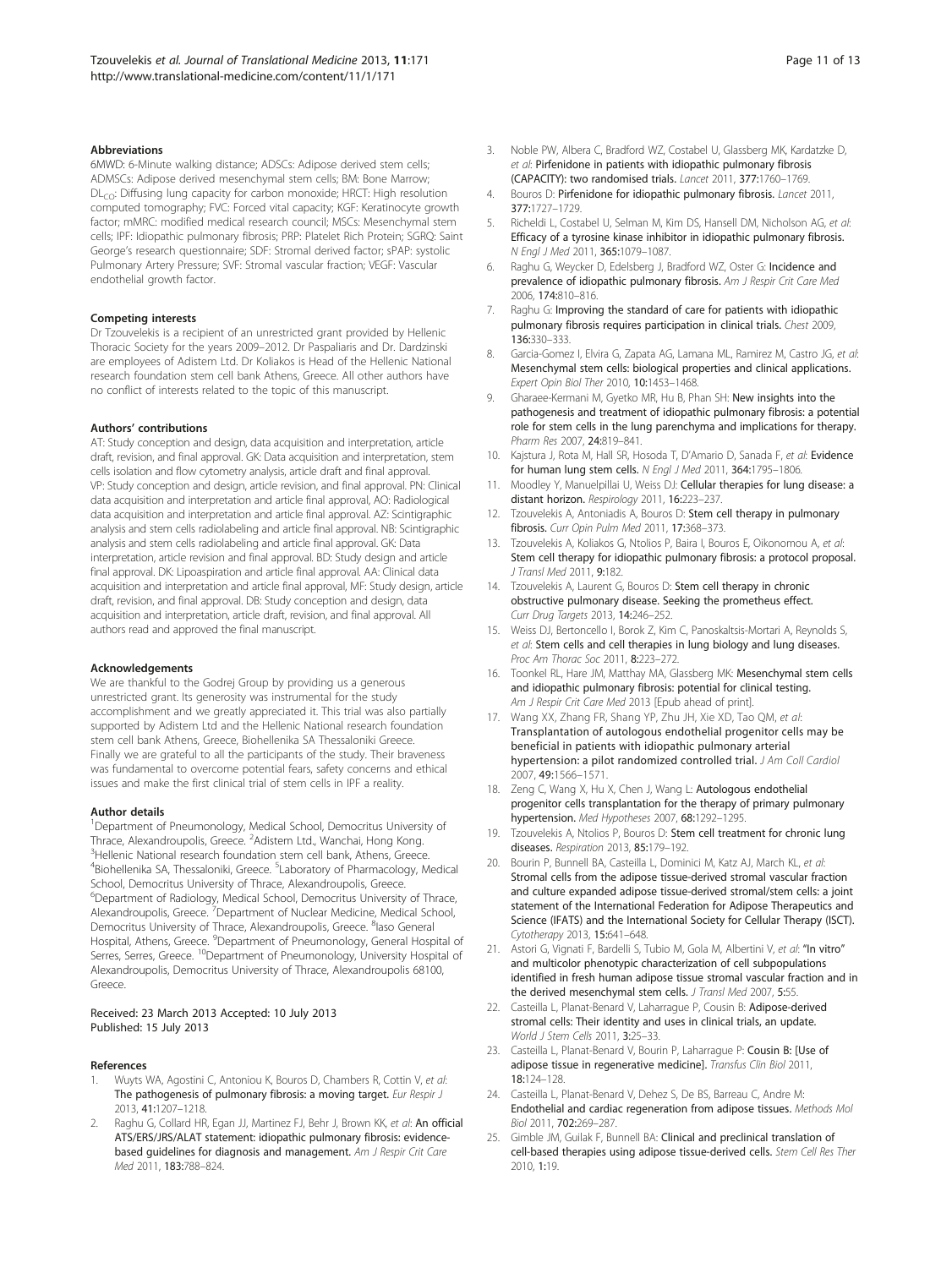#### <span id="page-10-0"></span>**Abbreviations**

6MWD: 6-Minute walking distance; ADSCs: Adipose derived stem cells; ADMSCs: Adipose derived mesenchymal stem cells; BM: Bone Marrow; DL<sub>CO</sub>: Diffusing lung capacity for carbon monoxide; HRCT: High resolution computed tomography; FVC: Forced vital capacity; KGF: Keratinocyte growth factor; mMRC: modified medical research council; MSCs: Mesenchymal stem cells; IPF: Idiopathic pulmonary fibrosis; PRP: Platelet Rich Protein; SGRQ: Saint George's research questionnaire; SDF: Stromal derived factor; sPAP: systolic Pulmonary Artery Pressure; SVF: Stromal vascular fraction; VEGF: Vascular endothelial growth factor.

#### Competing interests

Dr Tzouvelekis is a recipient of an unrestricted grant provided by Hellenic Thoracic Society for the years 2009–2012. Dr Paspaliaris and Dr. Dardzinski are employees of Adistem Ltd. Dr Koliakos is Head of the Hellenic National research foundation stem cell bank Athens, Greece. All other authors have no conflict of interests related to the topic of this manuscript.

#### Authors' contributions

AT: Study conception and design, data acquisition and interpretation, article draft, revision, and final approval. GK: Data acquisition and interpretation, stem cells isolation and flow cytometry analysis, article draft and final approval. VP: Study conception and design, article revision, and final approval. PN: Clinical data acquisition and interpretation and article final approval, AO: Radiological data acquisition and interpretation and article final approval. AZ: Scintigraphic analysis and stem cells radiolabeling and article final approval. NB: Scintigraphic analysis and stem cells radiolabeling and article final approval. GK: Data interpretation, article revision and final approval. BD: Study design and article final approval. DK: Lipoaspiration and article final approval. AA: Clinical data acquisition and interpretation and article final approval, MF: Study design, article draft, revision, and final approval. DB: Study conception and design, data acquisition and interpretation, article draft, revision, and final approval. All authors read and approved the final manuscript.

#### Acknowledgements

We are thankful to the Godrej Group by providing us a generous unrestricted grant. Its generosity was instrumental for the study accomplishment and we greatly appreciated it. This trial was also partially supported by Adistem Ltd and the Hellenic National research foundation stem cell bank Athens, Greece, Biohellenika SA Thessaloniki Greece. Finally we are grateful to all the participants of the study. Their braveness was fundamental to overcome potential fears, safety concerns and ethical issues and make the first clinical trial of stem cells in IPF a reality.

#### Author details

<sup>1</sup>Department of Pneumonology, Medical School, Democritus University of Thrace, Alexandroupolis, Greece. <sup>2</sup>Adistem Ltd., Wanchai, Hong Kong.<br><sup>3</sup>Hellenic National research foundation stem cell bank. Athens *Greec* <sup>3</sup>Hellenic National research foundation stem cell bank, Athens, Greece. <sup>4</sup>Biohellenika SA, Thessaloniki, Greece. <sup>5</sup>Laboratory of Pharmacology, Medical School, Democritus University of Thrace, Alexandroupolis, Greece. <sup>6</sup>Department of Radiology, Medical School, Democritus University of Thrace, Alexandroupolis, Greece. <sup>7</sup>Department of Nuclear Medicine, Medical School, Democritus University of Thrace, Alexandroupolis, Greece. <sup>8</sup>laso General Hospital, Athens, Greece. <sup>9</sup>Department of Pneumonology, General Hospital of Serres, Serres, Greece. <sup>10</sup>Department of Pneumonology, University Hospital of Alexandroupolis, Democritus University of Thrace, Alexandroupolis 68100, Greece.

#### Received: 23 March 2013 Accepted: 10 July 2013 Published: 15 July 2013

#### References

- Wuyts WA, Agostini C, Antoniou K, Bouros D, Chambers R, Cottin V, et al: The pathogenesis of pulmonary fibrosis: a moving target. Eur Respir J 2013, 41:1207–1218.
- Raghu G, Collard HR, Egan JJ, Martinez FJ, Behr J, Brown KK, et al: An official ATS/ERS/JRS/ALAT statement: idiopathic pulmonary fibrosis: evidencebased guidelines for diagnosis and management. Am J Respir Crit Care Med 2011, 183:788–824.
- 3. Noble PW, Albera C, Bradford WZ, Costabel U, Glassberg MK, Kardatzke D, et al: Pirfenidone in patients with idiopathic pulmonary fibrosis (CAPACITY): two randomised trials. Lancet 2011, 377:1760–1769.
- 4. Bouros D: Pirfenidone for idiopathic pulmonary fibrosis. Lancet 2011, 377:1727–1729.
- 5. Richeldi L, Costabel U, Selman M, Kim DS, Hansell DM, Nicholson AG, et al: Efficacy of a tyrosine kinase inhibitor in idiopathic pulmonary fibrosis. N Engl J Med 2011, 365:1079–1087.
- Raghu G, Weycker D, Edelsberg J, Bradford WZ, Oster G: Incidence and prevalence of idiopathic pulmonary fibrosis. Am J Respir Crit Care Med 2006, 174:810–816.
- 7. Raghu G: Improving the standard of care for patients with idiopathic pulmonary fibrosis requires participation in clinical trials. Chest 2009, 136:330–333.
- 8. Garcia-Gomez I, Elvira G, Zapata AG, Lamana ML, Ramirez M, Castro JG, et al: Mesenchymal stem cells: biological properties and clinical applications. Expert Opin Biol Ther 2010, 10:1453–1468.
- Gharaee-Kermani M, Gyetko MR, Hu B, Phan SH: New insights into the pathogenesis and treatment of idiopathic pulmonary fibrosis: a potential role for stem cells in the lung parenchyma and implications for therapy. Pharm Res 2007, 24:819–841.
- 10. Kajstura J, Rota M, Hall SR, Hosoda T, D'Amario D, Sanada F, et al: Evidence for human lung stem cells. N Engl J Med 2011, 364:1795–1806.
- 11. Moodley Y, Manuelpillai U, Weiss DJ: Cellular therapies for lung disease: a distant horizon. Respirology 2011, 16:223–237.
- 12. Tzouvelekis A, Antoniadis A, Bouros D: Stem cell therapy in pulmonary fibrosis. Curr Opin Pulm Med 2011, 17:368–373.
- 13. Tzouvelekis A, Koliakos G, Ntolios P, Baira I, Bouros E, Oikonomou A, et al: Stem cell therapy for idiopathic pulmonary fibrosis: a protocol proposal. J Transl Med 2011, 9:182.
- 14. Tzouvelekis A, Laurent G, Bouros D: Stem cell therapy in chronic obstructive pulmonary disease. Seeking the prometheus effect. Curr Drug Targets 2013, 14:246–252.
- 15. Weiss DJ, Bertoncello I, Borok Z, Kim C, Panoskaltsis-Mortari A, Reynolds S, et al: Stem cells and cell therapies in lung biology and lung diseases. Proc Am Thorac Soc 2011, 8:223-272.
- 16. Toonkel RL, Hare JM, Matthay MA, Glassberg MK: Mesenchymal stem cells and idiopathic pulmonary fibrosis: potential for clinical testing. Am J Respir Crit Care Med 2013 [Epub ahead of print].
- 17. Wang XX, Zhang FR, Shang YP, Zhu JH, Xie XD, Tao QM, et al: Transplantation of autologous endothelial progenitor cells may be beneficial in patients with idiopathic pulmonary arterial hypertension: a pilot randomized controlled trial. J Am Coll Cardiol 2007, 49:1566–1571.
- 18. Zeng C, Wang X, Hu X, Chen J, Wang L: Autologous endothelial progenitor cells transplantation for the therapy of primary pulmonary hypertension. Med Hypotheses 2007, 68:1292–1295.
- 19. Tzouvelekis A, Ntolios P, Bouros D: Stem cell treatment for chronic lung diseases. Respiration 2013, 85:179–192.
- 20. Bourin P, Bunnell BA, Casteilla L, Dominici M, Katz AJ, March KL, et al: Stromal cells from the adipose tissue-derived stromal vascular fraction and culture expanded adipose tissue-derived stromal/stem cells: a joint statement of the International Federation for Adipose Therapeutics and Science (IFATS) and the International Society for Cellular Therapy (ISCT). Cytotherapy 2013, 15:641–648.
- 21. Astori G, Vignati F, Bardelli S, Tubio M, Gola M, Albertini V, et al: "In vitro" and multicolor phenotypic characterization of cell subpopulations identified in fresh human adipose tissue stromal vascular fraction and in the derived mesenchymal stem cells. J Transl Med 2007, 5:55.
- 22. Casteilla L, Planat-Benard V, Laharrague P, Cousin B: Adipose-derived stromal cells: Their identity and uses in clinical trials, an update. World J Stem Cells 2011, 3:25–33.
- 23. Casteilla L, Planat-Benard V, Bourin P, Laharrague P: Cousin B: [Use of adipose tissue in regenerative medicine]. Transfus Clin Biol 2011, 18:124–128.
- 24. Casteilla L, Planat-Benard V, Dehez S, De BS, Barreau C, Andre M: Endothelial and cardiac regeneration from adipose tissues. Methods Mol Biol 2011, 702:269–287.
- 25. Gimble JM, Guilak F, Bunnell BA: Clinical and preclinical translation of cell-based therapies using adipose tissue-derived cells. Stem Cell Res Ther 2010, 1:19.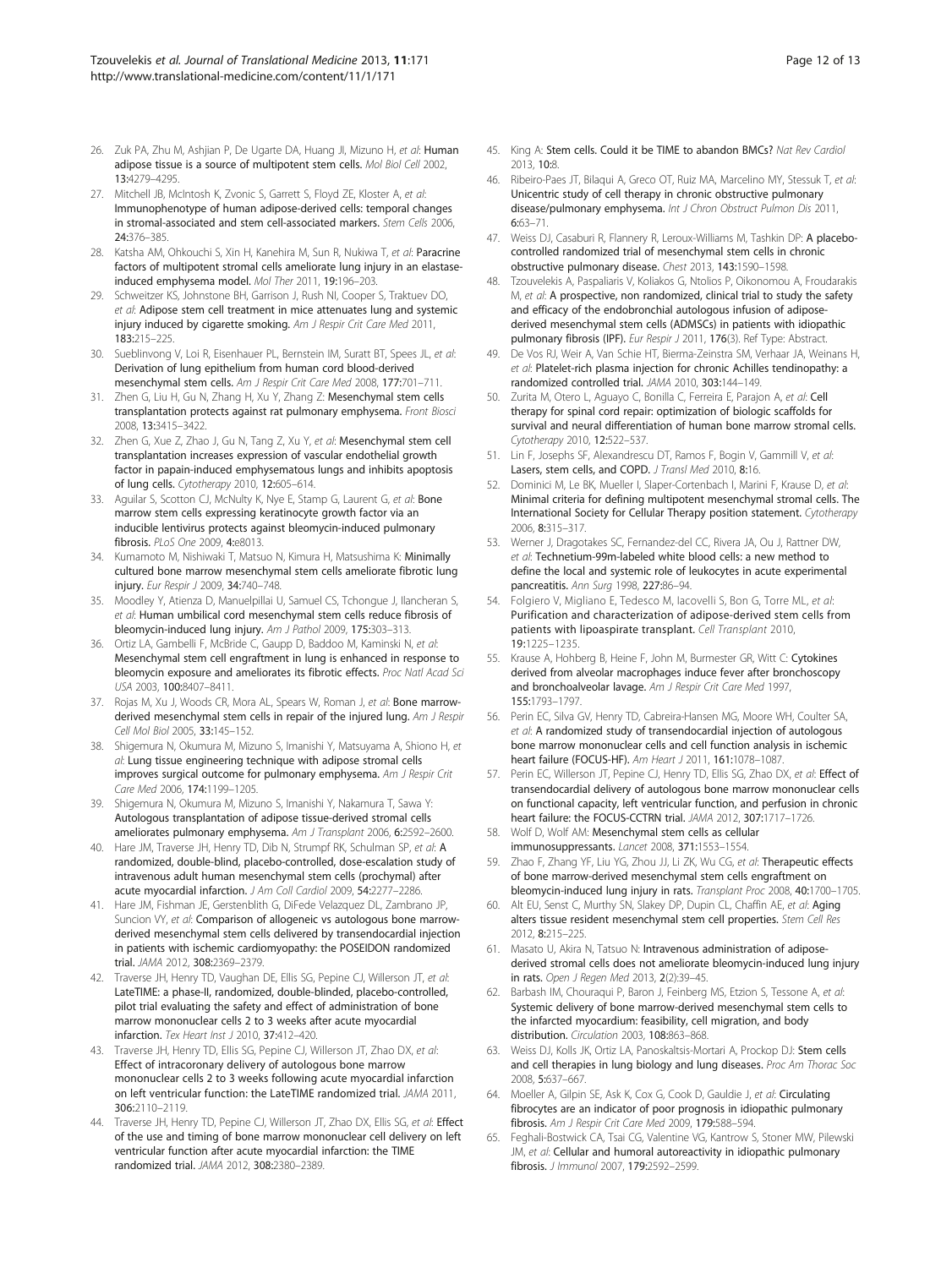- <span id="page-11-0"></span>26. Zuk PA, Zhu M, Ashjian P, De Ugarte DA, Huang JI, Mizuno H, et al: Human adipose tissue is a source of multipotent stem cells. Mol Biol Cell 2002, 13:4279–4295.
- 27. Mitchell JB, McIntosh K, Zvonic S, Garrett S, Floyd ZE, Kloster A, et al: Immunophenotype of human adipose-derived cells: temporal changes in stromal-associated and stem cell-associated markers. Stem Cells 2006, 24:376–385.
- 28. Katsha AM, Ohkouchi S, Xin H, Kanehira M, Sun R, Nukiwa T, et al: Paracrine factors of multipotent stromal cells ameliorate lung injury in an elastaseinduced emphysema model. Mol Ther 2011, 19:196–203.
- 29. Schweitzer KS, Johnstone BH, Garrison J, Rush NI, Cooper S, Traktuev DO, et al: Adipose stem cell treatment in mice attenuates lung and systemic injury induced by cigarette smoking. Am J Respir Crit Care Med 2011, 183:215–225.
- 30. Sueblinvong V, Loi R, Eisenhauer PL, Bernstein IM, Suratt BT, Spees JL, et al: Derivation of lung epithelium from human cord blood-derived mesenchymal stem cells. Am J Respir Crit Care Med 2008, 177:701–711.
- 31. Zhen G, Liu H, Gu N, Zhang H, Xu Y, Zhang Z: Mesenchymal stem cells transplantation protects against rat pulmonary emphysema. Front Biosci 2008, 13:3415–3422.
- 32. Zhen G, Xue Z, Zhao J, Gu N, Tang Z, Xu Y, et al: Mesenchymal stem cell transplantation increases expression of vascular endothelial growth factor in papain-induced emphysematous lungs and inhibits apoptosis of lung cells. Cytotherapy 2010, 12:605–614.
- 33. Aquilar S, Scotton CJ, McNulty K, Nye E, Stamp G, Laurent G, et al: Bone marrow stem cells expressing keratinocyte growth factor via an inducible lentivirus protects against bleomycin-induced pulmonary fibrosis. PLoS One 2009, 4:e8013.
- 34. Kumamoto M, Nishiwaki T, Matsuo N, Kimura H, Matsushima K: Minimally cultured bone marrow mesenchymal stem cells ameliorate fibrotic lung injury. Eur Respir J 2009, 34:740–748.
- 35. Moodley Y, Atienza D, Manuelpillai U, Samuel CS, Tchongue J, Ilancheran S, et al: Human umbilical cord mesenchymal stem cells reduce fibrosis of bleomycin-induced lung injury. Am J Pathol 2009, 175:303–313.
- 36. Ortiz LA, Gambelli F, McBride C, Gaupp D, Baddoo M, Kaminski N, et al: Mesenchymal stem cell engraftment in lung is enhanced in response to bleomycin exposure and ameliorates its fibrotic effects. Proc Natl Acad Sci USA 2003, 100:8407-8411
- 37. Rojas M, Xu J, Woods CR, Mora AL, Spears W, Roman J, et al: Bone marrowderived mesenchymal stem cells in repair of the injured lung. Am J Respir Cell Mol Biol 2005, 33:145–152.
- 38. Shigemura N, Okumura M, Mizuno S, Imanishi Y, Matsuyama A, Shiono H, et al: Lung tissue engineering technique with adipose stromal cells improves surgical outcome for pulmonary emphysema. Am J Respir Crit Care Med 2006, 174:1199–1205.
- 39. Shigemura N, Okumura M, Mizuno S, Imanishi Y, Nakamura T, Sawa Y: Autologous transplantation of adipose tissue-derived stromal cells ameliorates pulmonary emphysema. Am J Transplant 2006, 6:2592–2600.
- 40. Hare JM, Traverse JH, Henry TD, Dib N, Strumpf RK, Schulman SP, et al: A randomized, double-blind, placebo-controlled, dose-escalation study of intravenous adult human mesenchymal stem cells (prochymal) after acute myocardial infarction. J Am Coll Cardiol 2009, 54:2277–2286.
- 41. Hare JM, Fishman JE, Gerstenblith G, DiFede Velazquez DL, Zambrano JP, Suncion VY, et al: Comparison of allogeneic vs autologous bone marrowderived mesenchymal stem cells delivered by transendocardial injection in patients with ischemic cardiomyopathy: the POSEIDON randomized trial. JAMA 2012, 308:2369–2379.
- 42. Traverse JH, Henry TD, Vaughan DE, Ellis SG, Pepine CJ, Willerson JT, et al: LateTIME: a phase-II, randomized, double-blinded, placebo-controlled, pilot trial evaluating the safety and effect of administration of bone marrow mononuclear cells 2 to 3 weeks after acute myocardial infarction. Tex Heart Inst J 2010, 37:412–420.
- 43. Traverse JH, Henry TD, Ellis SG, Pepine CJ, Willerson JT, Zhao DX, et al: Effect of intracoronary delivery of autologous bone marrow mononuclear cells 2 to 3 weeks following acute myocardial infarction on left ventricular function: the LateTIME randomized trial. JAMA 2011, 306:2110–2119.
- 44. Traverse JH, Henry TD, Pepine CJ, Willerson JT, Zhao DX, Ellis SG, et al: Effect of the use and timing of bone marrow mononuclear cell delivery on left ventricular function after acute myocardial infarction: the TIME randomized trial. JAMA 2012, 308:2380–2389.
- 45. King A: Stem cells. Could it be TIME to abandon BMCs? Nat Rev Cardiol 2013, 10:8.
- 46. Ribeiro-Paes JT, Bilaqui A, Greco OT, Ruiz MA, Marcelino MY, Stessuk T, et al: Unicentric study of cell therapy in chronic obstructive pulmonary disease/pulmonary emphysema. Int J Chron Obstruct Pulmon Dis 2011, 6:63–71.
- 47. Weiss DJ, Casaburi R, Flannery R, Leroux-Williams M, Tashkin DP: A placebocontrolled randomized trial of mesenchymal stem cells in chronic obstructive pulmonary disease. Chest 2013, 143:1590–1598.
- 48. Tzouvelekis A, Paspaliaris V, Koliakos G, Ntolios P, Oikonomou A, Froudarakis M, et al: A prospective, non randomized, clinical trial to study the safety and efficacy of the endobronchial autologous infusion of adiposederived mesenchymal stem cells (ADMSCs) in patients with idiopathic pulmonary fibrosis (IPF). Eur Respir J 2011, 176(3). Ref Type: Abstract.
- 49. De Vos RJ, Weir A, Van Schie HT, Bierma-Zeinstra SM, Verhaar JA, Weinans H, et al: Platelet-rich plasma injection for chronic Achilles tendinopathy: a randomized controlled trial. JAMA 2010, 303:144–149.
- Zurita M, Otero L, Aguayo C, Bonilla C, Ferreira E, Parajon A, et al: Cell therapy for spinal cord repair: optimization of biologic scaffolds for survival and neural differentiation of human bone marrow stromal cells. Cytotherapy 2010, 12:522–537.
- 51. Lin F, Josephs SF, Alexandrescu DT, Ramos F, Bogin V, Gammill V, et al: Lasers, stem cells, and COPD. J Transl Med 2010, 8:16.
- 52. Dominici M, Le BK, Mueller I, Slaper-Cortenbach I, Marini F, Krause D, et al: Minimal criteria for defining multipotent mesenchymal stromal cells. The International Society for Cellular Therapy position statement. Cytotherapy 2006, 8:315–317.
- 53. Werner J, Dragotakes SC, Fernandez-del CC, Rivera JA, Ou J, Rattner DW, et al: Technetium-99m-labeled white blood cells: a new method to define the local and systemic role of leukocytes in acute experimental pancreatitis. Ann Surg 1998, 227:86–94.
- 54. Folgiero V, Migliano E, Tedesco M, Iacovelli S, Bon G, Torre ML, et al: Purification and characterization of adipose-derived stem cells from patients with lipoaspirate transplant. Cell Transplant 2010, 19:1225–1235.
- 55. Krause A, Hohberg B, Heine F, John M, Burmester GR, Witt C: Cytokines derived from alveolar macrophages induce fever after bronchoscopy and bronchoalveolar lavage. Am J Respir Crit Care Med 1997, 155:1793–1797.
- 56. Perin EC, Silva GV, Henry TD, Cabreira-Hansen MG, Moore WH, Coulter SA, et al: A randomized study of transendocardial injection of autologous bone marrow mononuclear cells and cell function analysis in ischemic heart failure (FOCUS-HF). Am Heart J 2011, 161:1078–1087.
- 57. Perin EC, Willerson JT, Pepine CJ, Henry TD, Ellis SG, Zhao DX, et al: Effect of transendocardial delivery of autologous bone marrow mononuclear cells on functional capacity, left ventricular function, and perfusion in chronic heart failure: the FOCUS-CCTRN trial. JAMA 2012, 307:1717–1726.
- 58. Wolf D, Wolf AM: Mesenchymal stem cells as cellular immunosuppressants. Lancet 2008, 371:1553–1554.
- Zhao F, Zhang YF, Liu YG, Zhou JJ, Li ZK, Wu CG, et al: Therapeutic effects of bone marrow-derived mesenchymal stem cells engraftment on bleomycin-induced lung injury in rats. Transplant Proc 2008, 40:1700–1705.
- 60. Alt EU, Senst C, Murthy SN, Slakey DP, Dupin CL, Chaffin AE, et al: Aging alters tissue resident mesenchymal stem cell properties. Stem Cell Res 2012, 8:215–225.
- 61. Masato U, Akira N, Tatsuo N: Intravenous administration of adiposederived stromal cells does not ameliorate bleomycin-induced lung injury in rats. Open J Regen Med 2013, 2(2):39–45.
- 62. Barbash IM, Chouraqui P, Baron J, Feinberg MS, Etzion S, Tessone A, et al: Systemic delivery of bone marrow-derived mesenchymal stem cells to the infarcted myocardium: feasibility, cell migration, and body distribution. Circulation 2003, 108:863–868.
- 63. Weiss DJ, Kolls JK, Ortiz LA, Panoskaltsis-Mortari A, Prockop DJ: Stem cells and cell therapies in lung biology and lung diseases. Proc Am Thorac Soc 2008, 5:637–667.
- 64. Moeller A, Gilpin SE, Ask K, Cox G, Cook D, Gauldie J, et al: Circulating fibrocytes are an indicator of poor prognosis in idiopathic pulmonary fibrosis. Am J Respir Crit Care Med 2009, 179:588-594.
- 65. Feghali-Bostwick CA, Tsai CG, Valentine VG, Kantrow S, Stoner MW, Pilewski JM, et al: Cellular and humoral autoreactivity in idiopathic pulmonary fibrosis. J Immunol 2007, 179:2592–2599.